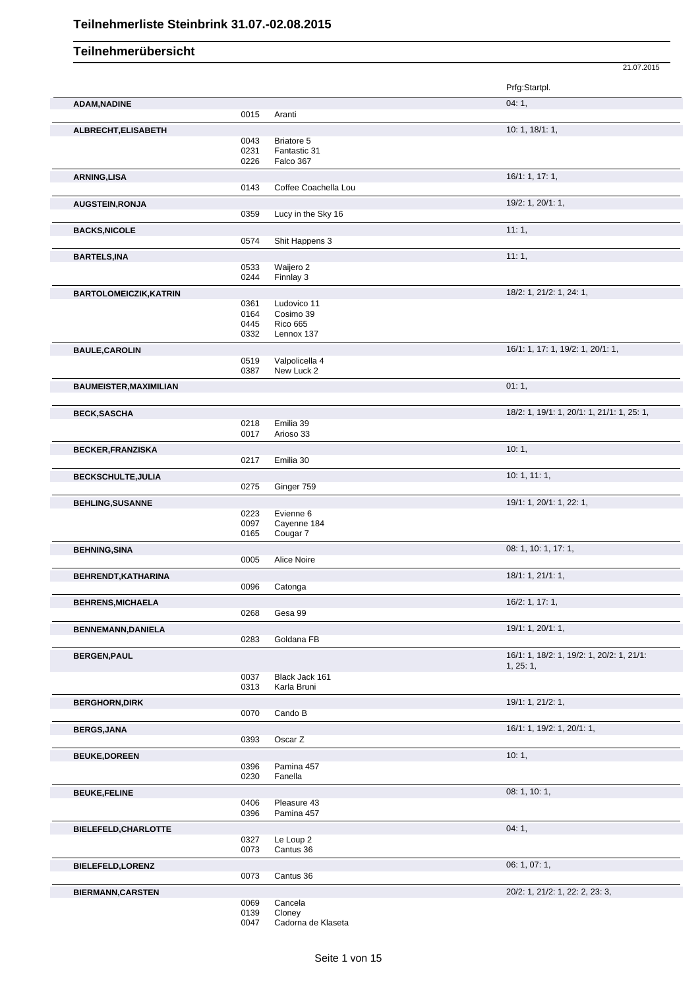|                               |      |                      | 21.07.2015                                 |
|-------------------------------|------|----------------------|--------------------------------------------|
|                               |      |                      | Prfg:Startpl.                              |
| <b>ADAM, NADINE</b>           |      |                      | 04:1,                                      |
|                               | 0015 | Aranti               |                                            |
| ALBRECHT, ELISABETH           |      |                      | 10: 1, 18/1: 1,                            |
|                               | 0043 | Briatore 5           |                                            |
|                               | 0231 | Fantastic 31         |                                            |
|                               | 0226 | Falco 367            |                                            |
| <b>ARNING,LISA</b>            |      |                      | 16/1: 1, 17: 1,                            |
|                               | 0143 | Coffee Coachella Lou |                                            |
| <b>AUGSTEIN, RONJA</b>        |      |                      | 19/2: 1, 20/1: 1,                          |
|                               | 0359 | Lucy in the Sky 16   |                                            |
| <b>BACKS, NICOLE</b>          |      |                      | 11:1,                                      |
|                               | 0574 | Shit Happens 3       |                                            |
| <b>BARTELS, INA</b>           |      |                      | 11:1,                                      |
|                               | 0533 | Waijero 2            |                                            |
|                               | 0244 | Finnlay 3            |                                            |
| <b>BARTOLOMEICZIK, KATRIN</b> |      |                      | 18/2: 1, 21/2: 1, 24: 1,                   |
|                               | 0361 | Ludovico 11          |                                            |
|                               | 0164 | Cosimo 39            |                                            |
|                               | 0445 | <b>Rico 665</b>      |                                            |
|                               | 0332 | Lennox 137           |                                            |
| <b>BAULE, CAROLIN</b>         |      |                      | 16/1: 1, 17: 1, 19/2: 1, 20/1: 1,          |
|                               | 0519 | Valpolicella 4       |                                            |
|                               | 0387 | New Luck 2           |                                            |
| <b>BAUMEISTER, MAXIMILIAN</b> |      |                      | 01:1,                                      |
|                               |      |                      |                                            |
| <b>BECK, SASCHA</b>           |      |                      | 18/2: 1, 19/1: 1, 20/1: 1, 21/1: 1, 25: 1, |
|                               | 0218 | Emilia 39            |                                            |
|                               | 0017 | Arioso 33            |                                            |
| <b>BECKER, FRANZISKA</b>      |      |                      | 10:1,                                      |
|                               | 0217 | Emilia 30            |                                            |
| <b>BECKSCHULTE, JULIA</b>     |      |                      | 10: 1, 11: 1,                              |
|                               | 0275 | Ginger 759           |                                            |
|                               |      |                      | 19/1: 1, 20/1: 1, 22: 1,                   |
| <b>BEHLING, SUSANNE</b>       | 0223 | Evienne 6            |                                            |
|                               | 0097 | Cayenne 184          |                                            |
|                               | 0165 | Cougar 7             |                                            |
| <b>BEHNING, SINA</b>          |      |                      | 08: 1, 10: 1, 17: 1,                       |
|                               | 0005 | Alice Noire          |                                            |
|                               |      |                      | 18/1: 1, 21/1: 1,                          |
| BEHRENDT, KATHARINA           | 0096 | Catonga              |                                            |
|                               |      |                      |                                            |
| <b>BEHRENS, MICHAELA</b>      | 0268 | Gesa 99              | 16/2: 1, 17: 1,                            |
|                               |      |                      |                                            |
| <b>BENNEMANN, DANIELA</b>     |      |                      | 19/1: 1, 20/1: 1,                          |
|                               | 0283 | Goldana FB           |                                            |
| <b>BERGEN, PAUL</b>           |      |                      | 16/1: 1, 18/2: 1, 19/2: 1, 20/2: 1, 21/1:  |
|                               |      |                      | 1, 25: 1,                                  |
|                               | 0037 | Black Jack 161       |                                            |
|                               | 0313 | Karla Bruni          |                                            |
| <b>BERGHORN, DIRK</b>         |      |                      | 19/1: 1, 21/2: 1,                          |
|                               | 0070 | Cando B              |                                            |
| <b>BERGS, JANA</b>            |      |                      | 16/1: 1, 19/2: 1, 20/1: 1,                 |
|                               | 0393 | Oscar Z              |                                            |
| <b>BEUKE, DOREEN</b>          |      |                      | 10:1,                                      |
|                               | 0396 | Pamina 457           |                                            |
|                               | 0230 | Fanella              |                                            |
| <b>BEUKE, FELINE</b>          |      |                      | 08: 1, 10: 1,                              |
|                               | 0406 | Pleasure 43          |                                            |
|                               | 0396 | Pamina 457           |                                            |
|                               |      |                      | 04:1,                                      |
| BIELEFELD, CHARLOTTE          | 0327 | Le Loup 2            |                                            |
|                               | 0073 | Cantus 36            |                                            |
|                               |      |                      | 06: 1, 07: 1,                              |
| <b>BIELEFELD, LORENZ</b>      | 0073 | Cantus 36            |                                            |
|                               |      |                      |                                            |
| <b>BIERMANN, CARSTEN</b>      | 0069 |                      | 20/2: 1, 21/2: 1, 22: 2, 23: 3,            |
|                               | 0139 | Cancela<br>Cloney    |                                            |
|                               | 0047 | Cadorna de Klaseta   |                                            |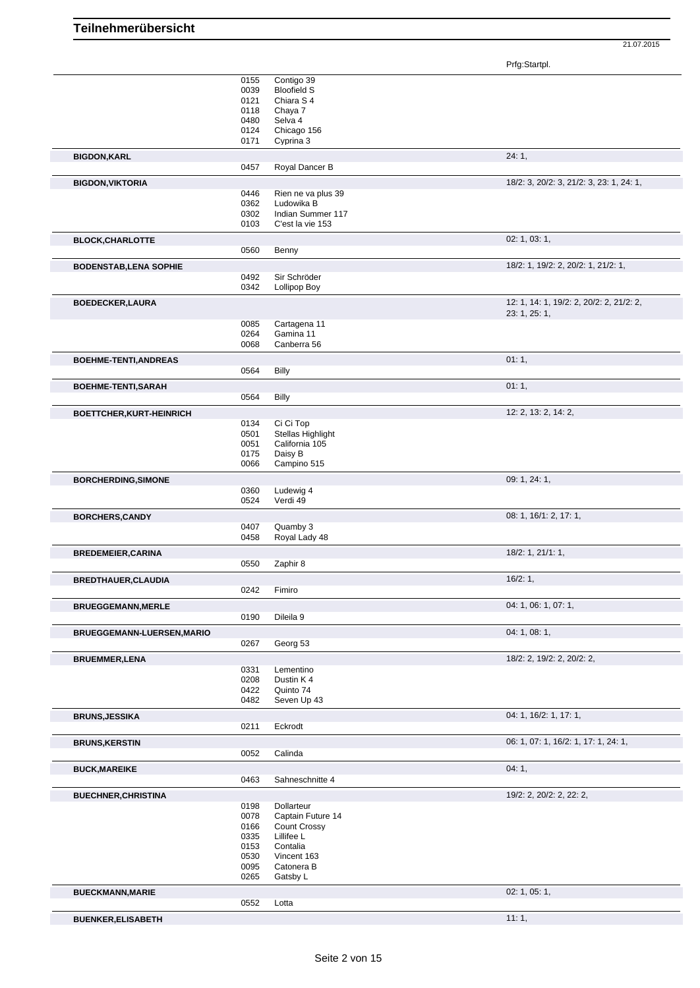Prfg:Startpl.

21.07.2015

|                                 | 0155<br>0039 | Contigo 39<br><b>Bloofield S</b> |                                          |
|---------------------------------|--------------|----------------------------------|------------------------------------------|
|                                 | 0121         | Chiara S 4                       |                                          |
|                                 | 0118         | Chaya 7                          |                                          |
|                                 | 0480         | Selva 4                          |                                          |
|                                 | 0124         | Chicago 156                      |                                          |
|                                 | 0171         | Cyprina 3                        |                                          |
| <b>BIGDON, KARL</b>             |              |                                  | 24:1,                                    |
|                                 | 0457         | Royal Dancer B                   |                                          |
| <b>BIGDON, VIKTORIA</b>         | 0446         | Rien ne va plus 39               | 18/2: 3, 20/2: 3, 21/2: 3, 23: 1, 24: 1, |
|                                 | 0362         | Ludowika B                       |                                          |
|                                 | 0302         | Indian Summer 117                |                                          |
|                                 | 0103         | C'est la vie 153                 |                                          |
| <b>BLOCK, CHARLOTTE</b>         |              |                                  | 02: 1, 03: 1,                            |
|                                 | 0560         | Benny                            |                                          |
| <b>BODENSTAB, LENA SOPHIE</b>   |              |                                  | 18/2: 1, 19/2: 2, 20/2: 1, 21/2: 1,      |
|                                 | 0492         | Sir Schröder                     |                                          |
|                                 | 0342         | <b>Lollipop Boy</b>              |                                          |
| <b>BOEDECKER,LAURA</b>          |              |                                  | 12: 1, 14: 1, 19/2: 2, 20/2: 2, 21/2: 2, |
|                                 |              |                                  | 23: 1, 25: 1,                            |
|                                 | 0085         | Cartagena 11                     |                                          |
|                                 | 0264         | Gamina 11                        |                                          |
|                                 | 0068         | Canberra 56                      |                                          |
| <b>BOEHME-TENTI, ANDREAS</b>    |              |                                  | 01:1,                                    |
|                                 | 0564         | <b>Billy</b>                     |                                          |
| <b>BOEHME-TENTI,SARAH</b>       |              |                                  | 01:1,                                    |
|                                 | 0564         | <b>Billy</b>                     |                                          |
| <b>BOETTCHER, KURT-HEINRICH</b> |              |                                  | 12: 2, 13: 2, 14: 2,                     |
|                                 | 0134         | Ci Ci Top                        |                                          |
|                                 | 0501         | Stellas Highlight                |                                          |
|                                 | 0051         | California 105                   |                                          |
|                                 | 0175<br>0066 | Daisy B<br>Campino 515           |                                          |
|                                 |              |                                  |                                          |
| <b>BORCHERDING, SIMONE</b>      | 0360         | Ludewig 4                        | 09: 1, 24: 1,                            |
|                                 | 0524         | Verdi 49                         |                                          |
| <b>BORCHERS,CANDY</b>           |              |                                  | 08: 1, 16/1: 2, 17: 1,                   |
|                                 | 0407         | Quamby 3                         |                                          |
|                                 | 0458         | Royal Lady 48                    |                                          |
| <b>BREDEMEIER, CARINA</b>       |              |                                  | $18/2$ : 1, $21/1$ : 1,                  |
|                                 | 0550         | Zaphir 8                         |                                          |
| BREDTHAUER, CLAUDIA             |              |                                  | 16/2:1,                                  |
|                                 | 0242         | Fimiro                           |                                          |
| <b>BRUEGGEMANN, MERLE</b>       |              |                                  | 04: 1, 06: 1, 07: 1,                     |
|                                 | 0190         | Dileila 9                        |                                          |
| BRUEGGEMANN-LUERSEN, MARIO      |              |                                  | 04:1,08:1,                               |
|                                 | 0267         | Georg 53                         |                                          |
| <b>BRUEMMER, LENA</b>           |              |                                  | 18/2: 2, 19/2: 2, 20/2: 2,               |
|                                 | 0331         | Lementino                        |                                          |
|                                 | 0208         | Dustin K4                        |                                          |
|                                 | 0422         | Quinto 74                        |                                          |
|                                 | 0482         | Seven Up 43                      |                                          |
| <b>BRUNS, JESSIKA</b>           |              |                                  | 04: 1, 16/2: 1, 17: 1,                   |
|                                 | 0211         | Eckrodt                          |                                          |
| <b>BRUNS, KERSTIN</b>           |              |                                  | 06: 1, 07: 1, 16/2: 1, 17: 1, 24: 1,     |
|                                 | 0052         | Calinda                          |                                          |
| <b>BUCK, MAREIKE</b>            |              |                                  | 04:1,                                    |
|                                 | 0463         | Sahneschnitte 4                  |                                          |
| <b>BUECHNER, CHRISTINA</b>      |              |                                  | 19/2: 2, 20/2: 2, 22: 2,                 |
|                                 | 0198         | Dollarteur                       |                                          |
|                                 | 0078         | Captain Future 14                |                                          |
|                                 | 0166<br>0335 | Count Crossy<br>Lillifee L       |                                          |
|                                 | 0153         | Contalia                         |                                          |
|                                 | 0530         | Vincent 163                      |                                          |
|                                 | 0095         | Catonera B                       |                                          |
|                                 | 0265         | Gatsby L                         |                                          |
| <b>BUECKMANN, MARIE</b>         |              |                                  | 02: 1, 05: 1,                            |
|                                 | 0552         | Lotta                            |                                          |
| <b>DUEMIZED ELIOADETH</b>       |              |                                  | 11.1                                     |

**BUENKER, ELISABETH**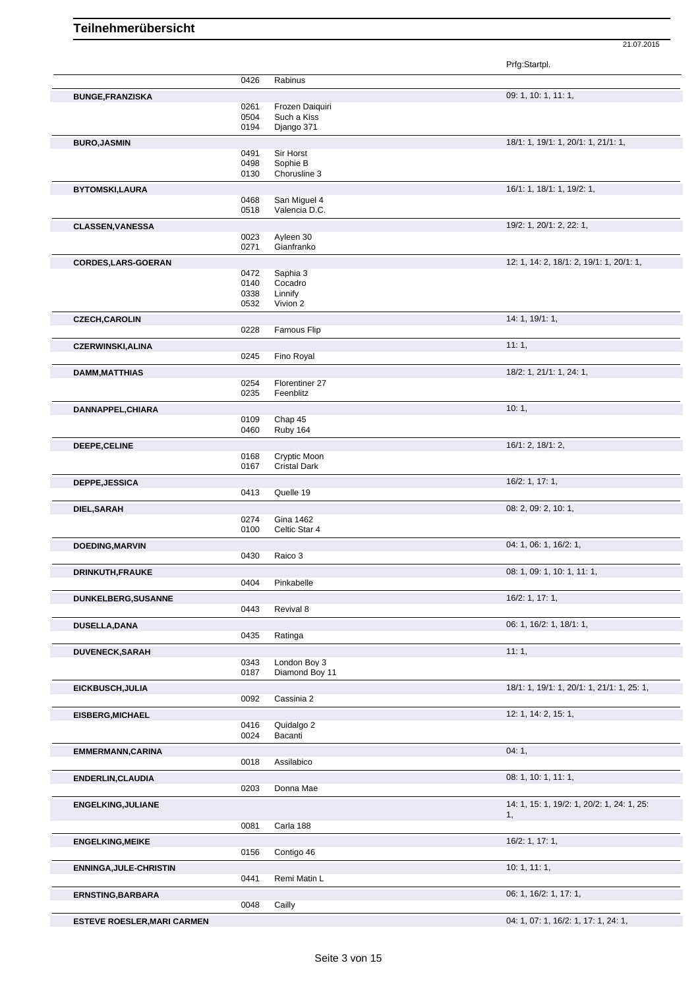|                                    |              |                     | Prfg:Startpl.                              |
|------------------------------------|--------------|---------------------|--------------------------------------------|
|                                    | 0426         | Rabinus             |                                            |
| <b>BUNGE, FRANZISKA</b>            |              |                     | 09: 1, 10: 1, 11: 1,                       |
|                                    | 0261         | Frozen Daiquiri     |                                            |
|                                    | 0504         | Such a Kiss         |                                            |
|                                    | 0194         | Django 371          |                                            |
| <b>BURO, JASMIN</b>                |              |                     | 18/1: 1, 19/1: 1, 20/1: 1, 21/1: 1,        |
|                                    | 0491         | Sir Horst           |                                            |
|                                    | 0498         | Sophie B            |                                            |
|                                    | 0130         | Chorusline 3        |                                            |
| <b>BYTOMSKI,LAURA</b>              |              |                     | 16/1: 1, 18/1: 1, 19/2: 1,                 |
|                                    | 0468         | San Miguel 4        |                                            |
|                                    | 0518         | Valencia D.C.       |                                            |
| <b>CLASSEN, VANESSA</b>            |              |                     | 19/2: 1, 20/1: 2, 22: 1,                   |
|                                    | 0023         | Ayleen 30           |                                            |
|                                    | 0271         | Gianfranko          |                                            |
|                                    |              |                     |                                            |
| <b>CORDES, LARS-GOERAN</b>         |              |                     | 12: 1, 14: 2, 18/1: 2, 19/1: 1, 20/1: 1,   |
|                                    | 0472<br>0140 | Saphia 3<br>Cocadro |                                            |
|                                    | 0338         | Linnify             |                                            |
|                                    | 0532         | Vivion 2            |                                            |
|                                    |              |                     |                                            |
| <b>CZECH, CAROLIN</b>              |              |                     | 14: 1, 19/1: 1,                            |
|                                    | 0228         | Famous Flip         |                                            |
| <b>CZERWINSKI, ALINA</b>           |              |                     | 11:1,                                      |
|                                    | 0245         | Fino Royal          |                                            |
| <b>DAMM, MATTHIAS</b>              |              |                     | 18/2: 1, 21/1: 1, 24: 1,                   |
|                                    | 0254         | Florentiner 27      |                                            |
|                                    | 0235         | Feenblitz           |                                            |
|                                    |              |                     |                                            |
| DANNAPPEL, CHIARA                  |              |                     | 10:1,                                      |
|                                    | 0109<br>0460 | Chap 45<br>Ruby 164 |                                            |
|                                    |              |                     |                                            |
| DEEPE, CELINE                      |              |                     | 16/1: 2, 18/1: 2,                          |
|                                    | 0168         | Cryptic Moon        |                                            |
|                                    | 0167         | <b>Cristal Dark</b> |                                            |
| <b>DEPPE, JESSICA</b>              |              |                     | 16/2: 1, 17: 1,                            |
|                                    | 0413         | Quelle 19           |                                            |
|                                    |              |                     | 08: 2, 09: 2, 10: 1,                       |
| DIEL, SARAH                        | 0274         | <b>Gina 1462</b>    |                                            |
|                                    | 0100         | Celtic Star 4       |                                            |
|                                    |              |                     |                                            |
| DOEDING, MARVIN                    |              |                     | 04: 1, 06: 1, 16/2: 1,                     |
|                                    | 0430         | Raico 3             |                                            |
| DRINKUTH, FRAUKE                   |              |                     | 08: 1, 09: 1, 10: 1, 11: 1,                |
|                                    | 0404         | Pinkabelle          |                                            |
| <b>DUNKELBERG, SUSANNE</b>         |              |                     | 16/2: 1, 17: 1,                            |
|                                    | 0443         | Revival 8           |                                            |
|                                    |              |                     |                                            |
| <b>DUSELLA, DANA</b>               |              |                     | 06: 1, 16/2: 1, 18/1: 1,                   |
|                                    | 0435         | Ratinga             |                                            |
| DUVENECK, SARAH                    |              |                     | 11:1,                                      |
|                                    | 0343         | London Boy 3        |                                            |
|                                    | 0187         | Diamond Boy 11      |                                            |
| EICKBUSCH, JULIA                   |              |                     | 18/1: 1, 19/1: 1, 20/1: 1, 21/1: 1, 25: 1, |
|                                    | 0092         | Cassinia 2          |                                            |
|                                    |              |                     |                                            |
| <b>EISBERG, MICHAEL</b>            |              |                     | 12: 1, 14: 2, 15: 1,                       |
|                                    | 0416         | Quidalgo 2          |                                            |
|                                    | 0024         | Bacanti             |                                            |
| EMMERMANN, CARINA                  |              |                     | 04:1,                                      |
|                                    | 0018         | Assilabico          |                                            |
| ENDERLIN, CLAUDIA                  |              |                     | 08: 1, 10: 1, 11: 1,                       |
|                                    | 0203         | Donna Mae           |                                            |
|                                    |              |                     |                                            |
| <b>ENGELKING, JULIANE</b>          |              |                     | 14: 1, 15: 1, 19/2: 1, 20/2: 1, 24: 1, 25: |
|                                    |              |                     | 1,                                         |
|                                    | 0081         | Carla 188           |                                            |
| <b>ENGELKING, MEIKE</b>            |              |                     | 16/2: 1, 17: 1,                            |
|                                    | 0156         | Contigo 46          |                                            |
|                                    |              |                     | 10: 1, 11: 1,                              |
| <b>ENNINGA, JULE-CHRISTIN</b>      | 0441         | Remi Matin L        |                                            |
|                                    |              |                     |                                            |
| <b>ERNSTING, BARBARA</b>           |              |                     | 06: 1, 16/2: 1, 17: 1,                     |
|                                    | 0048         | Cailly              |                                            |
| <b>ESTEVE ROESLER, MARI CARMEN</b> |              |                     | 04: 1, 07: 1, 16/2: 1, 17: 1, 24: 1,       |
|                                    |              |                     |                                            |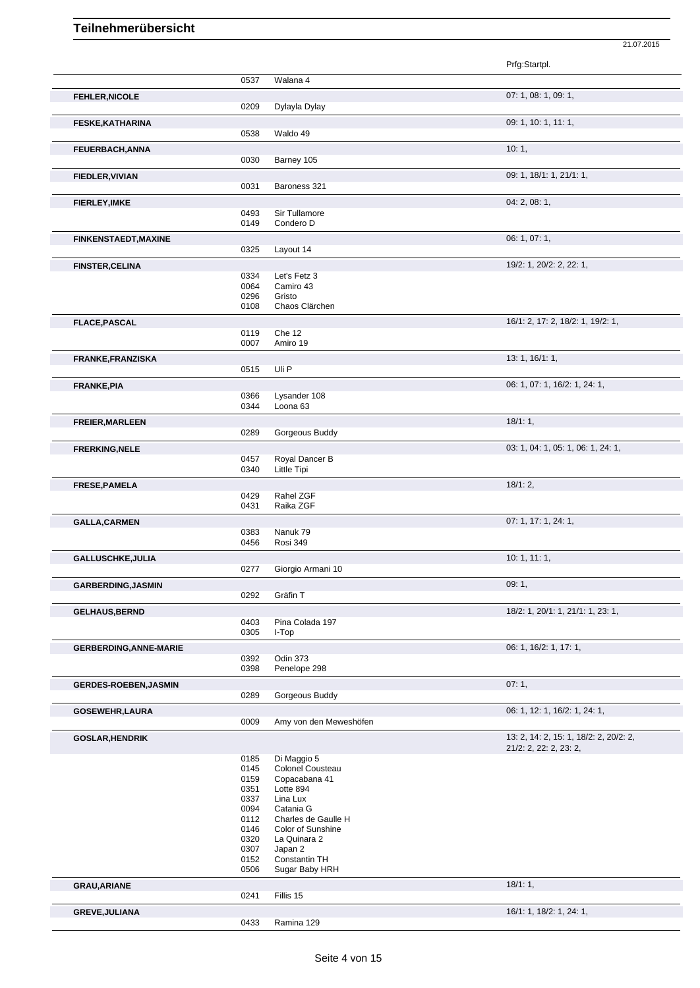|                               |              |                                          | Prfg:Startpl.                                                    |
|-------------------------------|--------------|------------------------------------------|------------------------------------------------------------------|
|                               | 0537         | Walana 4                                 |                                                                  |
| <b>FEHLER, NICOLE</b>         |              |                                          | 07: 1, 08: 1, 09: 1,                                             |
|                               | 0209         | Dylayla Dylay                            |                                                                  |
| <b>FESKE, KATHARINA</b>       |              |                                          | 09: 1, 10: 1, 11: 1,                                             |
|                               | 0538         | Waldo 49                                 |                                                                  |
| <b>FEUERBACH, ANNA</b>        |              |                                          | 10:1,                                                            |
|                               | 0030         | Barney 105                               |                                                                  |
| <b>FIEDLER, VIVIAN</b>        |              |                                          | 09: 1, 18/1: 1, 21/1: 1,                                         |
|                               | 0031         | Baroness 321                             |                                                                  |
| <b>FIERLEY, IMKE</b>          |              |                                          | 04: 2, 08: 1,                                                    |
|                               | 0493<br>0149 | Sir Tullamore<br>Condero D               |                                                                  |
|                               |              |                                          | 06: 1, 07: 1,                                                    |
| <b>FINKENSTAEDT, MAXINE</b>   | 0325         | Layout 14                                |                                                                  |
| <b>FINSTER, CELINA</b>        |              |                                          | 19/2: 1, 20/2: 2, 22: 1,                                         |
|                               | 0334         | Let's Fetz 3                             |                                                                  |
|                               | 0064         | Camiro 43                                |                                                                  |
|                               | 0296<br>0108 | Gristo<br>Chaos Clärchen                 |                                                                  |
| <b>FLACE, PASCAL</b>          |              |                                          | 16/1: 2, 17: 2, 18/2: 1, 19/2: 1,                                |
|                               | 0119         | Che 12                                   |                                                                  |
|                               | 0007         | Amiro 19                                 |                                                                  |
| <b>FRANKE, FRANZISKA</b>      |              |                                          | 13: 1, 16/1: 1,                                                  |
|                               | 0515         | Uli P                                    |                                                                  |
| <b>FRANKE, PIA</b>            |              |                                          | 06: 1, 07: 1, 16/2: 1, 24: 1,                                    |
|                               | 0366<br>0344 | Lysander 108<br>Loona 63                 |                                                                  |
|                               |              |                                          | 18/1:1,                                                          |
| FREIER, MARLEEN               | 0289         | Gorgeous Buddy                           |                                                                  |
| <b>FRERKING, NELE</b>         |              |                                          | 03: 1, 04: 1, 05: 1, 06: 1, 24: 1,                               |
|                               | 0457         | Royal Dancer B                           |                                                                  |
|                               | 0340         | Little Tipi                              |                                                                  |
| FRESE, PAMELA                 |              |                                          | 18/1:2,                                                          |
|                               | 0429<br>0431 | Rahel ZGF<br>Raika ZGF                   |                                                                  |
|                               |              |                                          | 07: 1, 17: 1, 24: 1,                                             |
| <b>GALLA, CARMEN</b>          | 0383         | Nanuk 79                                 |                                                                  |
|                               | 0456         | Rosi 349                                 |                                                                  |
| GALLUSCHKE, JULIA             |              |                                          | 10:1, 11:1,                                                      |
|                               | 0277         | Giorgio Armani 10                        |                                                                  |
| <b>GARBERDING, JASMIN</b>     |              |                                          | 09:1,                                                            |
|                               | 0292         | Gräfin T                                 |                                                                  |
| <b>GELHAUS, BERND</b>         |              |                                          | 18/2: 1, 20/1: 1, 21/1: 1, 23: 1,                                |
|                               | 0403<br>0305 | Pina Colada 197<br>I-Top                 |                                                                  |
| <b>GERBERDING, ANNE-MARIE</b> |              |                                          | 06: 1, 16/2: 1, 17: 1,                                           |
|                               | 0392         | Odin 373                                 |                                                                  |
|                               | 0398         | Penelope 298                             |                                                                  |
| <b>GERDES-ROEBEN, JASMIN</b>  |              |                                          | 07:1,                                                            |
|                               | 0289         | Gorgeous Buddy                           |                                                                  |
| <b>GOSEWEHR, LAURA</b>        |              |                                          | 06: 1, 12: 1, 16/2: 1, 24: 1,                                    |
|                               | 0009         | Amy von den Meweshöfen                   |                                                                  |
| <b>GOSLAR, HENDRIK</b>        |              |                                          | 13: 2, 14: 2, 15: 1, 18/2: 2, 20/2: 2,<br>21/2: 2, 22: 2, 23: 2, |
|                               | 0185         | Di Maggio 5                              |                                                                  |
|                               | 0145         | Colonel Cousteau                         |                                                                  |
|                               | 0159<br>0351 | Copacabana 41<br>Lotte 894               |                                                                  |
|                               | 0337         | Lina Lux                                 |                                                                  |
|                               | 0094         | Catania G                                |                                                                  |
|                               | 0112<br>0146 | Charles de Gaulle H<br>Color of Sunshine |                                                                  |
|                               | 0320         | La Quinara 2                             |                                                                  |
|                               | 0307         | Japan 2                                  |                                                                  |
|                               | 0152<br>0506 | Constantin TH<br>Sugar Baby HRH          |                                                                  |
| <b>GRAU, ARIANE</b>           |              |                                          | 18/1:1,                                                          |
|                               | 0241         | Fillis 15                                |                                                                  |
| GREVE, JULIANA                |              |                                          | 16/1: 1, 18/2: 1, 24: 1,                                         |
|                               | 0433         | Ramina 129                               |                                                                  |

21.07.2015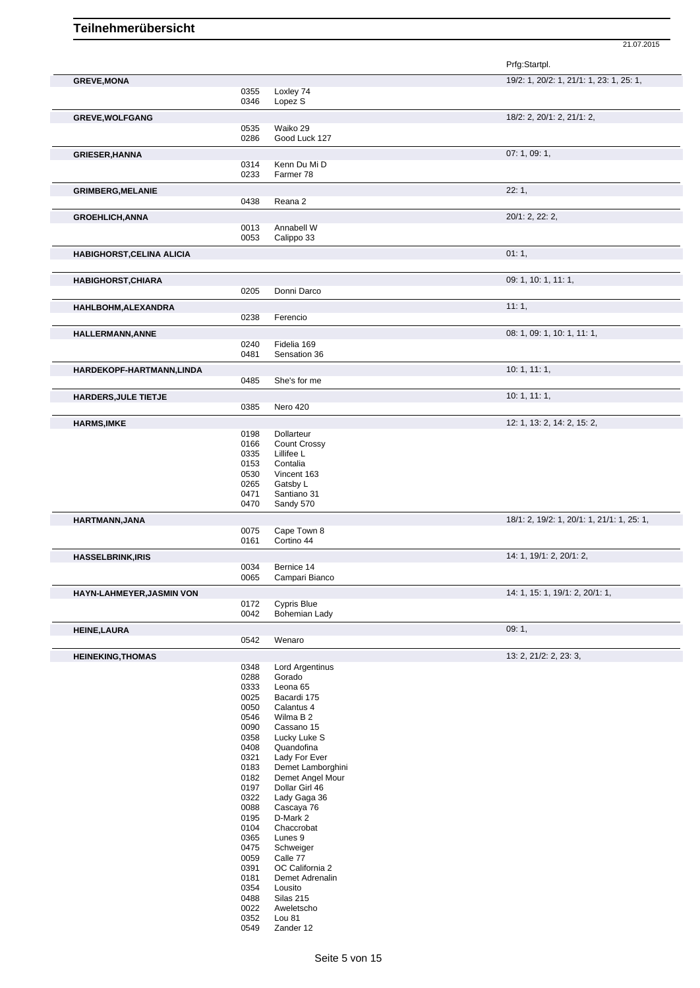|                                  |              |                                     | Prfg:Startpl.                              |
|----------------------------------|--------------|-------------------------------------|--------------------------------------------|
| <b>GREVE, MONA</b>               |              |                                     | 19/2: 1, 20/2: 1, 21/1: 1, 23: 1, 25: 1,   |
|                                  | 0355<br>0346 | Loxley 74<br>Lopez S                |                                            |
| <b>GREVE, WOLFGANG</b>           |              |                                     | 18/2: 2, 20/1: 2, 21/1: 2,                 |
|                                  | 0535         | Waiko 29                            |                                            |
|                                  | 0286         | Good Luck 127                       |                                            |
| <b>GRIESER, HANNA</b>            |              |                                     | 07: 1, 09: 1,                              |
|                                  | 0314         | Kenn Du Mi D                        |                                            |
|                                  | 0233         | Farmer 78                           |                                            |
| <b>GRIMBERG, MELANIE</b>         |              |                                     | 22:1,                                      |
|                                  | 0438         | Reana 2                             |                                            |
| <b>GROEHLICH, ANNA</b>           |              |                                     | 20/1: 2, 22: 2,                            |
|                                  | 0013<br>0053 | Annabell W<br>Calippo 33            |                                            |
|                                  |              |                                     | 01:1,                                      |
| <b>HABIGHORST, CELINA ALICIA</b> |              |                                     |                                            |
|                                  |              |                                     | 09: 1, 10: 1, 11: 1,                       |
| <b>HABIGHORST, CHIARA</b>        | 0205         | Donni Darco                         |                                            |
|                                  |              |                                     | 11:1,                                      |
| HAHLBOHM, ALEXANDRA              | 0238         | Ferencio                            |                                            |
|                                  |              |                                     | 08: 1, 09: 1, 10: 1, 11: 1,                |
| HALLERMANN, ANNE                 | 0240         | Fidelia 169                         |                                            |
|                                  | 0481         | Sensation 36                        |                                            |
| HARDEKOPF-HARTMANN,LINDA         |              |                                     | 10:1, 11:1,                                |
|                                  | 0485         | She's for me                        |                                            |
| <b>HARDERS, JULE TIETJE</b>      |              |                                     | 10: 1, 11: 1,                              |
|                                  | 0385         | Nero 420                            |                                            |
| <b>HARMS, IMKE</b>               |              |                                     | 12: 1, 13: 2, 14: 2, 15: 2,                |
|                                  | 0198         | Dollarteur                          |                                            |
|                                  | 0166         | <b>Count Crossy</b>                 |                                            |
|                                  | 0335         | Lillifee L                          |                                            |
|                                  | 0153         | Contalia                            |                                            |
|                                  | 0530<br>0265 | Vincent 163<br>Gatsby L             |                                            |
|                                  | 0471         | Santiano 31                         |                                            |
|                                  | 0470         | Sandy 570                           |                                            |
| HARTMANN, JANA                   |              |                                     | 18/1: 2, 19/2: 1, 20/1: 1, 21/1: 1, 25: 1, |
|                                  | 0075         | Cape Town 8                         |                                            |
|                                  | 0161         | Cortino 44                          |                                            |
| <b>HASSELBRINK, IRIS</b>         |              |                                     | 14: 1, 19/1: 2, 20/1: 2,                   |
|                                  | 0034         | Bernice 14                          |                                            |
|                                  | 0065         | Campari Bianco                      |                                            |
| <b>HAYN-LAHMEYER, JASMIN VON</b> |              |                                     | 14: 1, 15: 1, 19/1: 2, 20/1: 1,            |
|                                  | 0172<br>0042 | <b>Cypris Blue</b><br>Bohemian Lady |                                            |
|                                  |              |                                     |                                            |
| <b>HEINE, LAURA</b>              | 0542         | Wenaro                              | 09:1,                                      |
|                                  |              |                                     |                                            |
| <b>HEINEKING, THOMAS</b>         |              |                                     | 13: 2, 21/2: 2, 23: 3,                     |
|                                  | 0348<br>0288 | <b>Lord Argentinus</b><br>Gorado    |                                            |
|                                  | 0333         | Leona 65                            |                                            |
|                                  | 0025         | Bacardi 175                         |                                            |
|                                  | 0050         | Calantus 4                          |                                            |
|                                  | 0546         | Wilma B 2                           |                                            |
|                                  | 0090         | Cassano 15                          |                                            |
|                                  | 0358         | Lucky Luke S                        |                                            |
|                                  | 0408<br>0321 | Quandofina                          |                                            |
|                                  | 0183         | Lady For Ever<br>Demet Lamborghini  |                                            |
|                                  | 0182         | Demet Angel Mour                    |                                            |
|                                  | 0197         | Dollar Girl 46                      |                                            |
|                                  | 0322         | Lady Gaga 36                        |                                            |
|                                  | 0088         | Cascaya 76                          |                                            |
|                                  | 0195         | D-Mark 2                            |                                            |
|                                  | 0104         | Chaccrobat                          |                                            |
|                                  | 0365         | Lunes 9                             |                                            |
|                                  | 0475         | Schweiger                           |                                            |
|                                  | 0059<br>0391 | Calle 77                            |                                            |
|                                  | 0181         | OC California 2<br>Demet Adrenalin  |                                            |
|                                  | 0354         | Lousito                             |                                            |
|                                  | 0488         | Silas 215                           |                                            |
|                                  | 0022         | Aweletscho                          |                                            |
|                                  | 0352         | Lou 81                              |                                            |
|                                  | 0549         | Zander 12                           |                                            |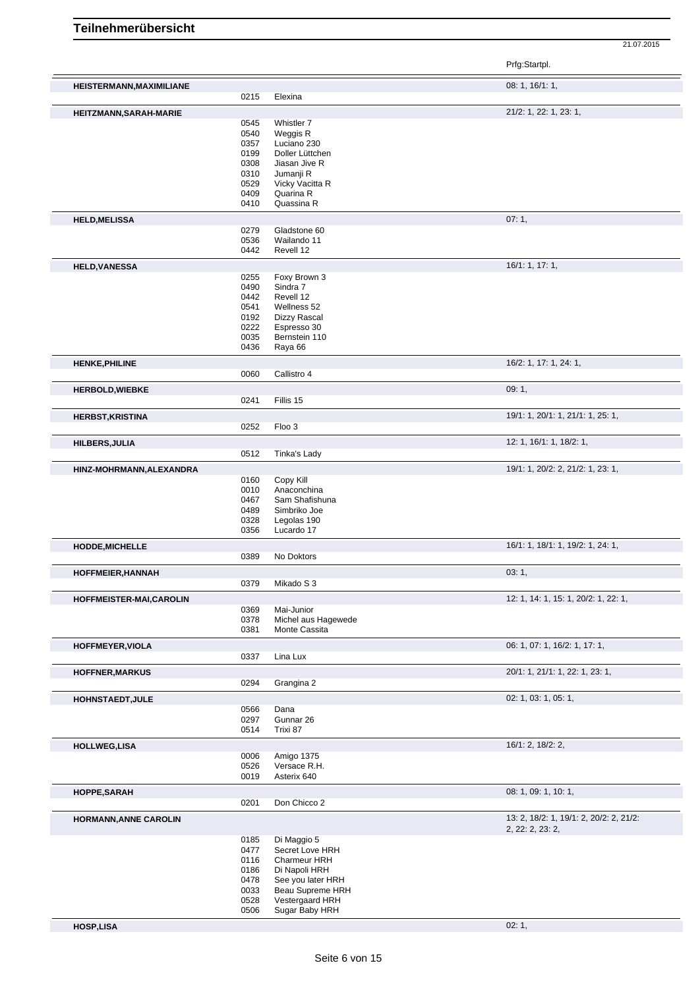|                                 |              |                              | Prfg:Startpl.                                               |
|---------------------------------|--------------|------------------------------|-------------------------------------------------------------|
| <b>HEISTERMANN, MAXIMILIANE</b> |              |                              | 08: 1, 16/1: 1,                                             |
|                                 | 0215         | Elexina                      |                                                             |
| HEITZMANN, SARAH-MARIE          |              |                              | 21/2: 1, 22: 1, 23: 1,                                      |
|                                 | 0545         | Whistler 7                   |                                                             |
|                                 | 0540         | Weggis R                     |                                                             |
|                                 | 0357         | Luciano 230                  |                                                             |
|                                 | 0199         | Doller Lüttchen              |                                                             |
|                                 | 0308         | Jiasan Jive R                |                                                             |
|                                 | 0310         | Jumanji R                    |                                                             |
|                                 | 0529<br>0409 | Vicky Vacitta R<br>Quarina R |                                                             |
|                                 | 0410         | Quassina R                   |                                                             |
| <b>HELD, MELISSA</b>            |              |                              | 07:1,                                                       |
|                                 | 0279         | Gladstone 60                 |                                                             |
|                                 | 0536         | Wailando 11                  |                                                             |
|                                 | 0442         | Revell 12                    |                                                             |
| <b>HELD, VANESSA</b>            |              |                              | 16/1: 1, 17: 1,                                             |
|                                 | 0255         | Foxy Brown 3                 |                                                             |
|                                 | 0490         | Sindra 7                     |                                                             |
|                                 | 0442         | Revell 12                    |                                                             |
|                                 | 0541         | Wellness 52                  |                                                             |
|                                 | 0192         | Dizzy Rascal<br>Espresso 30  |                                                             |
|                                 | 0222<br>0035 | Bernstein 110                |                                                             |
|                                 | 0436         | Raya 66                      |                                                             |
| <b>HENKE, PHILINE</b>           |              |                              | 16/2: 1, 17: 1, 24: 1,                                      |
|                                 | 0060         | Callistro 4                  |                                                             |
| <b>HERBOLD, WIEBKE</b>          | 0241         | Fillis 15                    | 09:1,                                                       |
| <b>HERBST, KRISTINA</b>         |              |                              | 19/1: 1, 20/1: 1, 21/1: 1, 25: 1,                           |
|                                 | 0252         | Floo 3                       |                                                             |
|                                 |              |                              |                                                             |
| HILBERS, JULIA                  |              |                              | 12: 1, 16/1: 1, 18/2: 1,                                    |
|                                 | 0512         | Tinka's Lady                 |                                                             |
| HINZ-MOHRMANN, ALEXANDRA        |              |                              | 19/1: 1, 20/2: 2, 21/2: 1, 23: 1,                           |
|                                 | 0160<br>0010 | Copy Kill<br>Anaconchina     |                                                             |
|                                 | 0467         | Sam Shafishuna               |                                                             |
|                                 | 0489         | Simbriko Joe                 |                                                             |
|                                 | 0328         | Legolas 190                  |                                                             |
|                                 | 0356         | Lucardo 17                   |                                                             |
| HODDE, MICHELLE                 |              |                              | 16/1: 1, 18/1: 1, 19/2: 1, 24: 1,                           |
|                                 | 0389         | No Doktors                   |                                                             |
| HOFFMEIER, HANNAH               |              |                              | 03:1,                                                       |
|                                 | 0379         | Mikado S 3                   |                                                             |
| HOFFMEISTER-MAI,CAROLIN         | 0369         | Mai-Junior                   | 12: 1, 14: 1, 15: 1, 20/2: 1, 22: 1,                        |
|                                 | 0378         | Michel aus Hagewede          |                                                             |
|                                 | 0381         | Monte Cassita                |                                                             |
| HOFFMEYER, VIOLA                |              |                              | 06: 1, 07: 1, 16/2: 1, 17: 1,                               |
|                                 | 0337         | Lina Lux                     |                                                             |
| <b>HOFFNER, MARKUS</b>          |              |                              | 20/1: 1, 21/1: 1, 22: 1, 23: 1,                             |
|                                 | 0294         | Grangina 2                   |                                                             |
| <b>HOHNSTAEDT, JULE</b>         | 0566         | Dana                         | 02: 1, 03: 1, 05: 1,                                        |
|                                 | 0297         | Gunnar 26                    |                                                             |
|                                 | 0514         | Trixi 87                     |                                                             |
|                                 |              |                              | 16/1: 2, 18/2: 2,                                           |
| <b>HOLLWEG,LISA</b>             | 0006         | Amigo 1375                   |                                                             |
|                                 | 0526         | Versace R.H.                 |                                                             |
|                                 | 0019         | Asterix 640                  |                                                             |
| HOPPE, SARAH                    |              |                              | 08: 1, 09: 1, 10: 1,                                        |
|                                 | 0201         | Don Chicco 2                 |                                                             |
| <b>HORMANN, ANNE CAROLIN</b>    |              |                              | 13: 2, 18/2: 1, 19/1: 2, 20/2: 2, 21/2:<br>2, 22: 2, 23: 2, |
|                                 | 0185         | Di Maggio 5                  |                                                             |
|                                 | 0477         | Secret Love HRH              |                                                             |
|                                 | 0116         | Charmeur HRH                 |                                                             |
|                                 | 0186         | Di Napoli HRH                |                                                             |
|                                 | 0478         | See you later HRH            |                                                             |
|                                 | 0033         | Beau Supreme HRH             |                                                             |
|                                 | 0528         | Vestergaard HRH              |                                                             |
|                                 | 0506         | Sugar Baby HRH               |                                                             |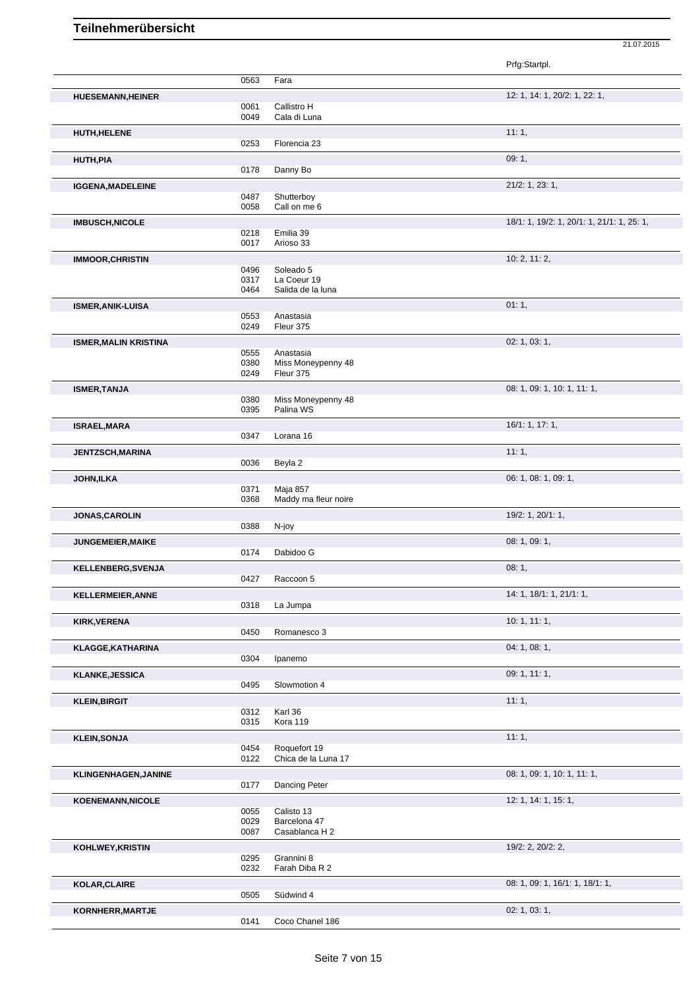|                              |              |                                 | Prfg:Startpl.                              |
|------------------------------|--------------|---------------------------------|--------------------------------------------|
|                              | 0563         | Fara                            |                                            |
| <b>HUESEMANN, HEINER</b>     |              |                                 | 12: 1, 14: 1, 20/2: 1, 22: 1,              |
|                              | 0061         | Callistro H                     |                                            |
|                              | 0049         | Cala di Luna                    |                                            |
| <b>HUTH, HELENE</b>          |              | Florencia 23                    | 11:1,                                      |
|                              | 0253         |                                 |                                            |
| <b>HUTH,PIA</b>              | 0178         | Danny Bo                        | 09:1,                                      |
|                              |              |                                 | 21/2: 1, 23: 1,                            |
| <b>IGGENA, MADELEINE</b>     | 0487         | Shutterboy                      |                                            |
|                              | 0058         | Call on me 6                    |                                            |
| <b>IMBUSCH, NICOLE</b>       |              |                                 | 18/1: 1, 19/2: 1, 20/1: 1, 21/1: 1, 25: 1, |
|                              | 0218<br>0017 | Emilia 39<br>Arioso 33          |                                            |
|                              |              |                                 |                                            |
| <b>IMMOOR, CHRISTIN</b>      | 0496         | Soleado 5                       | 10: 2, 11: 2,                              |
|                              | 0317         | La Coeur 19                     |                                            |
|                              | 0464         | Salida de la luna               |                                            |
| <b>ISMER, ANIK-LUISA</b>     |              |                                 | 01:1,                                      |
|                              | 0553<br>0249 | Anastasia<br>Fleur 375          |                                            |
|                              |              |                                 |                                            |
| <b>ISMER, MALIN KRISTINA</b> | 0555         | Anastasia                       | 02: 1, 03: 1,                              |
|                              | 0380         | Miss Moneypenny 48              |                                            |
|                              | 0249         | Fleur 375                       |                                            |
| <b>ISMER, TANJA</b>          |              |                                 | 08: 1, 09: 1, 10: 1, 11: 1,                |
|                              | 0380<br>0395 | Miss Moneypenny 48<br>Palina WS |                                            |
|                              |              |                                 | 16/1: 1, 17: 1,                            |
| <b>ISRAEL, MARA</b>          | 0347         | Lorana 16                       |                                            |
| <b>JENTZSCH, MARINA</b>      |              |                                 | 11:1,                                      |
|                              | 0036         | Beyla 2                         |                                            |
| <b>JOHN,ILKA</b>             |              |                                 | 06: 1, 08: 1, 09: 1,                       |
|                              | 0371         | Maja 857                        |                                            |
|                              | 0368         | Maddy ma fleur noire            |                                            |
| JONAS, CAROLIN               |              |                                 | 19/2: 1, 20/1: 1,                          |
|                              | 0388         | N-joy                           |                                            |
| <b>JUNGEMEIER, MAIKE</b>     | 0174         | Dabidoo G                       | 08: 1, 09: 1,                              |
|                              |              |                                 |                                            |
| <b>KELLENBERG, SVENJA</b>    | 0427         | Raccoon 5                       | 08:1,                                      |
| <b>KELLERMEIER, ANNE</b>     |              |                                 | 14: 1, 18/1: 1, 21/1: 1,                   |
|                              | 0318         | La Jumpa                        |                                            |
| <b>KIRK, VERENA</b>          |              |                                 | 10:1, 11:1,                                |
|                              | 0450         | Romanesco 3                     |                                            |
| <b>KLAGGE, KATHARINA</b>     |              |                                 | 04: 1, 08: 1,                              |
|                              | 0304         | Ipanemo                         |                                            |
| <b>KLANKE, JESSICA</b>       |              |                                 | 09: 1, 11: 1,                              |
|                              | 0495         | Slowmotion 4                    |                                            |
| <b>KLEIN, BIRGIT</b>         |              |                                 | 11:1,                                      |
|                              | 0312<br>0315 | Karl 36<br>Kora 119             |                                            |
|                              |              |                                 |                                            |
| <b>KLEIN, SONJA</b>          | 0454         | Roquefort 19                    | 11:1,                                      |
|                              | 0122         | Chica de la Luna 17             |                                            |
| KLINGENHAGEN, JANINE         |              |                                 | 08: 1, 09: 1, 10: 1, 11: 1,                |
|                              | 0177         | Dancing Peter                   |                                            |
| <b>KOENEMANN, NICOLE</b>     |              |                                 | 12: 1, 14: 1, 15: 1,                       |
|                              | 0055         | Calisto 13                      |                                            |
|                              | 0029<br>0087 | Barcelona 47<br>Casablanca H 2  |                                            |
| KOHLWEY, KRISTIN             |              |                                 | 19/2: 2, 20/2: 2,                          |
|                              | 0295         | Grannini 8                      |                                            |
|                              | 0232         | Farah Diba R 2                  |                                            |
| KOLAR, CLAIRE                |              |                                 | 08: 1, 09: 1, 16/1: 1, 18/1: 1,            |
|                              | 0505         | Südwind 4                       |                                            |
| KORNHERR, MARTJE             |              |                                 | 02: 1, 03: 1,                              |
|                              | 0141         | Coco Chanel 186                 |                                            |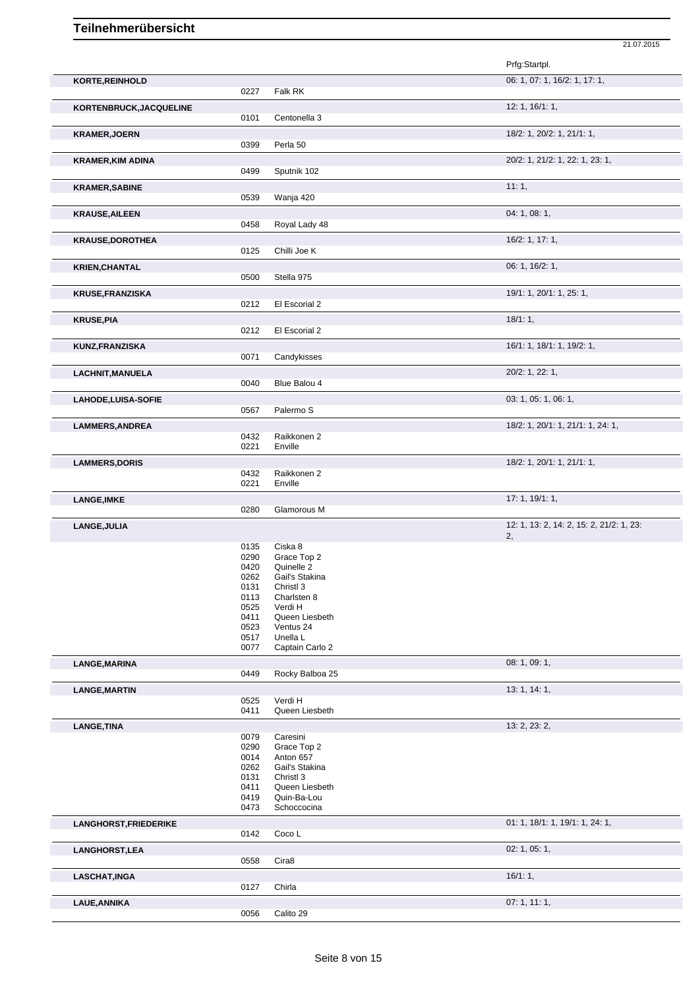|                            |              |                               | 21.07.2015                               |
|----------------------------|--------------|-------------------------------|------------------------------------------|
|                            |              |                               | Prfg:Startpl.                            |
| KORTE, REINHOLD            |              |                               | 06: 1, 07: 1, 16/2: 1, 17: 1,            |
|                            | 0227         | Falk RK                       |                                          |
|                            |              |                               | 12: 1, 16/1: 1,                          |
| KORTENBRUCK, JACQUELINE    | 0101         | Centonella 3                  |                                          |
|                            |              |                               |                                          |
| <b>KRAMER, JOERN</b>       | 0399         | Perla 50                      | 18/2: 1, 20/2: 1, 21/1: 1,               |
|                            |              |                               | 20/2: 1, 21/2: 1, 22: 1, 23: 1,          |
| <b>KRAMER, KIM ADINA</b>   | 0499         | Sputnik 102                   |                                          |
|                            |              |                               |                                          |
| <b>KRAMER, SABINE</b>      |              |                               | 11:1,                                    |
|                            | 0539         | Wanja 420                     |                                          |
| <b>KRAUSE, AILEEN</b>      |              |                               | 04: 1, 08: 1,                            |
|                            | 0458         | Royal Lady 48                 |                                          |
| <b>KRAUSE, DOROTHEA</b>    |              |                               | 16/2: 1, 17: 1,                          |
|                            | 0125         | Chilli Joe K                  |                                          |
| <b>KRIEN, CHANTAL</b>      |              |                               | 06: 1, 16/2: 1,                          |
|                            | 0500         | Stella 975                    |                                          |
| <b>KRUSE, FRANZISKA</b>    |              |                               | 19/1: 1, 20/1: 1, 25: 1,                 |
|                            | 0212         | El Escorial 2                 |                                          |
| <b>KRUSE, PIA</b>          |              |                               | 18/1:1,                                  |
|                            | 0212         | El Escorial 2                 |                                          |
| <b>KUNZ, FRANZISKA</b>     |              |                               | 16/1: 1, 18/1: 1, 19/2: 1,               |
|                            | 0071         | Candykisses                   |                                          |
| <b>LACHNIT, MANUELA</b>    |              |                               | 20/2: 1, 22: 1,                          |
|                            | 0040         | Blue Balou 4                  |                                          |
|                            |              |                               | 03: 1, 05: 1, 06: 1,                     |
| <b>LAHODE, LUISA-SOFIE</b> | 0567         | Palermo <sub>S</sub>          |                                          |
|                            |              |                               |                                          |
| <b>LAMMERS, ANDREA</b>     | 0432         | Raikkonen 2                   | 18/2: 1, 20/1: 1, 21/1: 1, 24: 1,        |
|                            | 0221         | Enville                       |                                          |
|                            |              |                               | 18/2: 1, 20/1: 1, 21/1: 1,               |
| <b>LAMMERS, DORIS</b>      | 0432         | Raikkonen 2                   |                                          |
|                            | 0221         | Enville                       |                                          |
| <b>LANGE, IMKE</b>         |              |                               | 17:1, 19/1:1,                            |
|                            | 0280         | Glamorous M                   |                                          |
| LANGE, JULIA               |              |                               | 12: 1, 13: 2, 14: 2, 15: 2, 21/2: 1, 23: |
|                            |              |                               | 2,                                       |
|                            | 0135         | Ciska 8                       |                                          |
|                            | 0290<br>0420 | Grace Top 2<br>Quinelle 2     |                                          |
|                            | 0262         | Gail's Stakina                |                                          |
|                            | 0131         | Christl 3                     |                                          |
|                            | 0113<br>0525 | Charlsten 8<br>Verdi H        |                                          |
|                            | 0411         | Queen Liesbeth                |                                          |
|                            | 0523         | Ventus 24                     |                                          |
|                            | 0517         | Unella L                      |                                          |
|                            | 0077         | Captain Carlo 2               |                                          |
| <b>LANGE, MARINA</b>       |              |                               | 08: 1, 09: 1,                            |
|                            | 0449         | Rocky Balboa 25               |                                          |
| <b>LANGE, MARTIN</b>       |              |                               | 13: 1, 14: 1,                            |
|                            | 0525         | Verdi H                       |                                          |
|                            | 0411         | Queen Liesbeth                |                                          |
| <b>LANGE, TINA</b>         |              |                               | 13: 2, 23: 2,                            |
|                            | 0079<br>0290 | Caresini<br>Grace Top 2       |                                          |
|                            | 0014         | Anton 657                     |                                          |
|                            | 0262         | Gail's Stakina                |                                          |
|                            | 0131         | Christl 3                     |                                          |
|                            | 0411<br>0419 | Queen Liesbeth<br>Quin-Ba-Lou |                                          |
|                            | 0473         | Schoccocina                   |                                          |
| LANGHORST, FRIEDERIKE      |              |                               | 01: 1, 18/1: 1, 19/1: 1, 24: 1,          |
|                            | 0142         | Coco L                        |                                          |
|                            |              |                               | 02: 1, 05: 1,                            |
| <b>LANGHORST, LEA</b>      | 0558         | Cira8                         |                                          |
|                            |              |                               |                                          |
| <b>LASCHAT, INGA</b>       | 0127         | Chirla                        | 16/1:1,                                  |
|                            |              |                               |                                          |
| LAUE, ANNIKA               | 0056         | Calito 29                     | 07:1, 11:1,                              |
|                            |              |                               |                                          |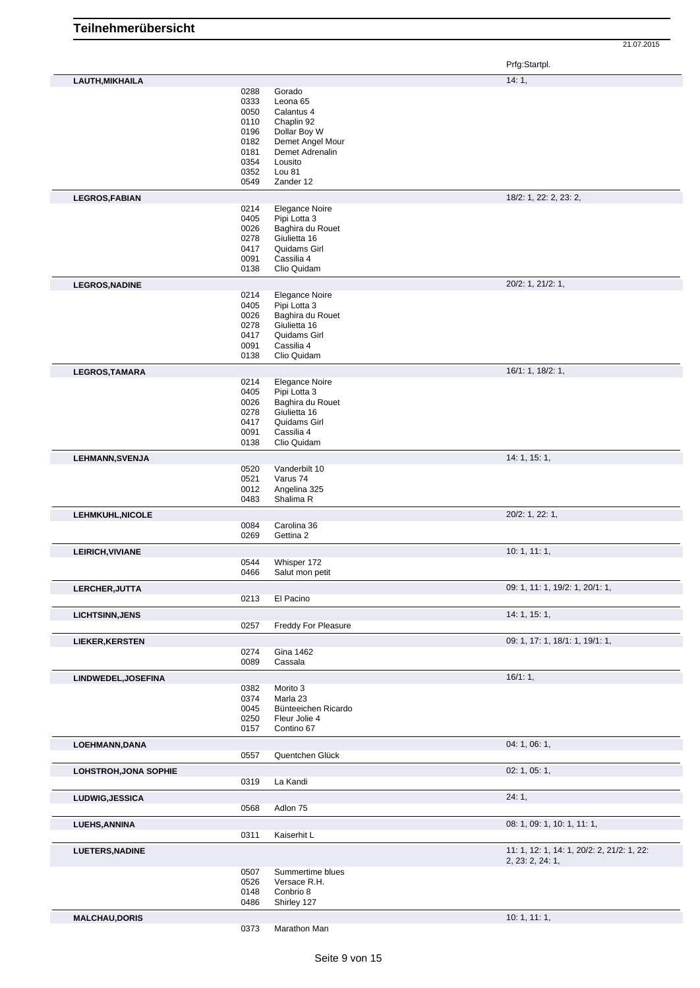Prfg:Startpl.

|                              |      |                       | 14:1,                                      |
|------------------------------|------|-----------------------|--------------------------------------------|
| LAUTH, MIKHAILA              |      |                       |                                            |
|                              | 0288 | Gorado                |                                            |
|                              | 0333 | Leona 65              |                                            |
|                              | 0050 | Calantus 4            |                                            |
|                              | 0110 | Chaplin 92            |                                            |
|                              | 0196 | Dollar Boy W          |                                            |
|                              | 0182 | Demet Angel Mour      |                                            |
|                              | 0181 | Demet Adrenalin       |                                            |
|                              | 0354 | Lousito               |                                            |
|                              | 0352 | Lou 81                |                                            |
|                              | 0549 | Zander 12             |                                            |
|                              |      |                       |                                            |
| <b>LEGROS, FABIAN</b>        | 0214 | <b>Elegance Noire</b> | 18/2: 1, 22: 2, 23: 2,                     |
|                              | 0405 | Pipi Lotta 3          |                                            |
|                              | 0026 | Baghira du Rouet      |                                            |
|                              | 0278 | Giulietta 16          |                                            |
|                              | 0417 | Quidams Girl          |                                            |
|                              | 0091 | Cassilia 4            |                                            |
|                              | 0138 | Clio Quidam           |                                            |
| <b>LEGROS, NADINE</b>        |      |                       | 20/2: 1, 21/2: 1,                          |
|                              | 0214 | <b>Elegance Noire</b> |                                            |
|                              | 0405 | Pipi Lotta 3          |                                            |
|                              | 0026 | Baghira du Rouet      |                                            |
|                              | 0278 | Giulietta 16          |                                            |
|                              | 0417 | Quidams Girl          |                                            |
|                              | 0091 | Cassilia 4            |                                            |
|                              | 0138 | Clio Quidam           |                                            |
| LEGROS, TAMARA               |      |                       | 16/1: 1, 18/2: 1,                          |
|                              | 0214 | Elegance Noire        |                                            |
|                              | 0405 | Pipi Lotta 3          |                                            |
|                              | 0026 | Baghira du Rouet      |                                            |
|                              | 0278 | Giulietta 16          |                                            |
|                              | 0417 | Quidams Girl          |                                            |
|                              | 0091 | Cassilia 4            |                                            |
|                              | 0138 | Clio Quidam           |                                            |
| <b>LEHMANN, SVENJA</b>       |      |                       | 14: 1, 15: 1,                              |
|                              | 0520 | Vanderbilt 10         |                                            |
|                              | 0521 | Varus 74              |                                            |
|                              | 0012 | Angelina 325          |                                            |
|                              | 0483 | Shalima R             |                                            |
| LEHMKUHL, NICOLE             |      |                       | 20/2: 1, 22: 1,                            |
|                              | 0084 | Carolina 36           |                                            |
|                              | 0269 | Gettina 2             |                                            |
| LEIRICH, VIVIANE             |      |                       | 10: 1, 11: 1,                              |
|                              | 0544 | Whisper 172           |                                            |
|                              | 0466 | Salut mon petit       |                                            |
|                              |      |                       | 09: 1, 11: 1, 19/2: 1, 20/1: 1,            |
| LERCHER, JUTTA               | 0213 | El Pacino             |                                            |
| <b>LICHTSINN, JENS</b>       |      |                       | 14:1, 15:1,                                |
|                              | 0257 | Freddy For Pleasure   |                                            |
| <b>LIEKER, KERSTEN</b>       |      |                       | 09: 1, 17: 1, 18/1: 1, 19/1: 1,            |
|                              | 0274 | Gina 1462             |                                            |
|                              | 0089 | Cassala               |                                            |
| LINDWEDEL, JOSEFINA          |      |                       | 16/1:1,                                    |
|                              | 0382 | Morito 3              |                                            |
|                              | 0374 | Marla 23              |                                            |
|                              | 0045 | Bünteeichen Ricardo   |                                            |
|                              | 0250 | Fleur Jolie 4         |                                            |
|                              | 0157 | Contino 67            |                                            |
| LOEHMANN, DANA               |      |                       | 04:1,06:1,                                 |
|                              | 0557 | Quentchen Glück       |                                            |
| <b>LOHSTROH, JONA SOPHIE</b> |      |                       | 02: 1, 05: 1,                              |
|                              | 0319 | La Kandi              |                                            |
| LUDWIG, JESSICA              |      |                       | 24:1,                                      |
|                              | 0568 | Adlon 75              |                                            |
| <b>LUEHS, ANNINA</b>         |      |                       | 08: 1, 09: 1, 10: 1, 11: 1,                |
|                              | 0311 | Kaiserhit L           |                                            |
| <b>LUETERS, NADINE</b>       |      |                       | 11: 1, 12: 1, 14: 1, 20/2: 2, 21/2: 1, 22: |
|                              |      |                       | 2, 23: 2, 24: 1,                           |
|                              | 0507 | Summertime blues      |                                            |
|                              | 0526 | Versace R.H.          |                                            |
|                              | 0148 | Conbrio 8             |                                            |
|                              | 0486 | Shirley 127           |                                            |
| <b>MALCHAU, DORIS</b>        |      |                       | 10:1, 11:1,                                |
|                              | 0373 | Marathon Man          |                                            |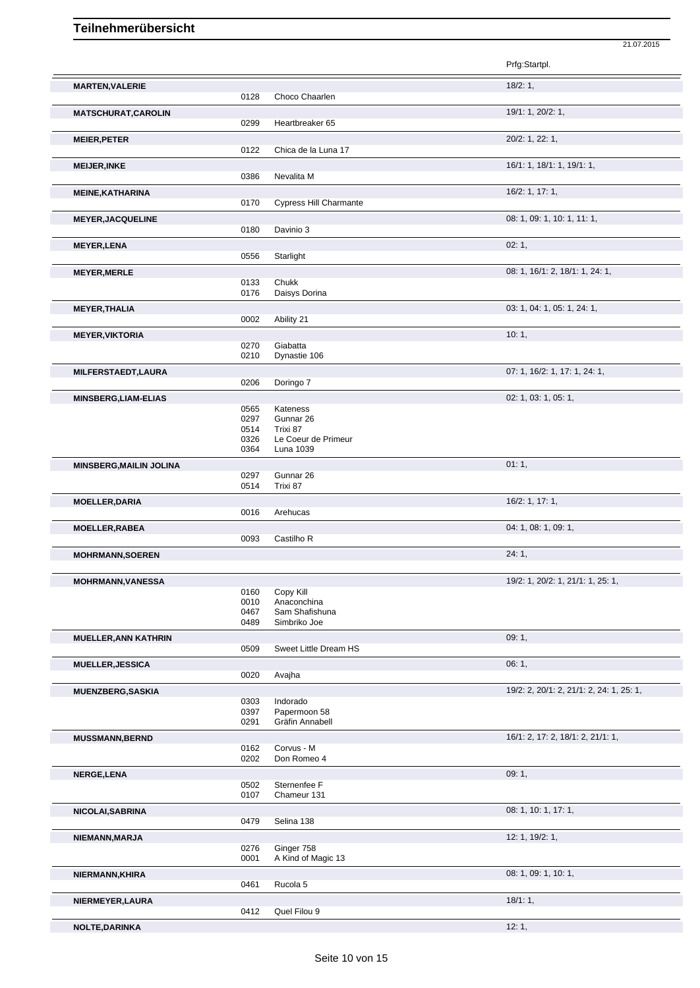|                                    |              |                                 | Prfg:Startpl.                            |
|------------------------------------|--------------|---------------------------------|------------------------------------------|
| <b>MARTEN, VALERIE</b>             | 0128         | Choco Chaarlen                  | 18/2:1,                                  |
| <b>MATSCHURAT, CAROLIN</b>         | 0299         | Heartbreaker 65                 | 19/1: 1, 20/2: 1,                        |
| <b>MEIER, PETER</b>                | 0122         | Chica de la Luna 17             | 20/2: 1, 22: 1,                          |
| <b>MEIJER, INKE</b>                | 0386         | Nevalita M                      | 16/1: 1, 18/1: 1, 19/1: 1,               |
| <b>MEINE, KATHARINA</b>            |              |                                 | 16/2: 1, 17: 1,                          |
|                                    | 0170         | <b>Cypress Hill Charmante</b>   |                                          |
| <b>MEYER, JACQUELINE</b>           |              |                                 | 08: 1, 09: 1, 10: 1, 11: 1,              |
|                                    | 0180         | Davinio 3                       | 02:1,                                    |
| <b>MEYER, LENA</b>                 | 0556         | Starlight                       |                                          |
| <b>MEYER, MERLE</b>                |              |                                 | 08: 1, 16/1: 2, 18/1: 1, 24: 1,          |
|                                    | 0133<br>0176 | Chukk<br>Daisys Dorina          |                                          |
| <b>MEYER, THALIA</b>               |              |                                 | 03: 1, 04: 1, 05: 1, 24: 1,              |
|                                    | 0002         | Ability 21                      |                                          |
| <b>MEYER, VIKTORIA</b>             |              |                                 | 10:1,                                    |
|                                    | 0270<br>0210 | Giabatta<br>Dynastie 106        |                                          |
| MILFERSTAEDT, LAURA                |              |                                 | 07: 1, 16/2: 1, 17: 1, 24: 1,            |
|                                    | 0206         | Doringo 7                       |                                          |
| <b>MINSBERG, LIAM-ELIAS</b>        | 0565         | Kateness                        | 02: 1, 03: 1, 05: 1,                     |
|                                    | 0297         | Gunnar 26                       |                                          |
|                                    | 0514<br>0326 | Trixi 87<br>Le Coeur de Primeur |                                          |
|                                    | 0364         | Luna 1039                       |                                          |
| <b>MINSBERG, MAILIN JOLINA</b>     |              |                                 | 01:1,                                    |
|                                    | 0297<br>0514 | Gunnar 26<br>Trixi 87           |                                          |
| <b>MOELLER, DARIA</b>              |              |                                 | 16/2: 1, 17: 1,                          |
|                                    | 0016         | Arehucas                        |                                          |
| <b>MOELLER, RABEA</b>              | 0093         | Castilho R                      | 04: 1, 08: 1, 09: 1,                     |
| <b>MOHRMANN, SOEREN</b>            |              |                                 | 24:1,                                    |
|                                    |              |                                 |                                          |
| MOHRMANN, VANESSA                  | 0160         | Copy Kill                       | 19/2: 1, 20/2: 1, 21/1: 1, 25: 1,        |
|                                    | 0010<br>0467 | Anaconchina<br>Sam Shafishuna   |                                          |
|                                    | 0489         | Simbriko Joe                    |                                          |
| <b>MUELLER, ANN KATHRIN</b>        | 0509         | Sweet Little Dream HS           | 09:1,                                    |
| <b>MUELLER, JESSICA</b>            |              |                                 |                                          |
|                                    |              |                                 | 06:1,                                    |
|                                    | 0020         | Avajha                          |                                          |
| <b>MUENZBERG, SASKIA</b>           |              |                                 | 19/2: 2, 20/1: 2, 21/1: 2, 24: 1, 25: 1, |
|                                    | 0303<br>0397 | Indorado<br>Papermoon 58        |                                          |
|                                    | 0291         | Gräfin Annabell                 |                                          |
| <b>MUSSMANN, BERND</b>             |              |                                 | 16/1: 2, 17: 2, 18/1: 2, 21/1: 1,        |
|                                    | 0162<br>0202 | Corvus - M<br>Don Romeo 4       |                                          |
| NERGE, LENA                        |              |                                 | 09:1,                                    |
|                                    | 0502<br>0107 | Sternenfee F<br>Chameur 131     |                                          |
|                                    |              |                                 | 08: 1, 10: 1, 17: 1,                     |
|                                    | 0479         | Selina 138                      |                                          |
| NICOLAI, SABRINA<br>NIEMANN, MARJA | 0276         | Ginger 758                      | 12: 1, 19/2: 1,                          |
|                                    | 0001         | A Kind of Magic 13              |                                          |
| NIERMANN, KHIRA                    | 0461         | Rucola 5                        | 08: 1, 09: 1, 10: 1,                     |
| NIERMEYER, LAURA                   |              |                                 | 18/1:1,                                  |
| NOLTE, DARINKA                     | 0412         | Quel Filou 9                    | 12:1,                                    |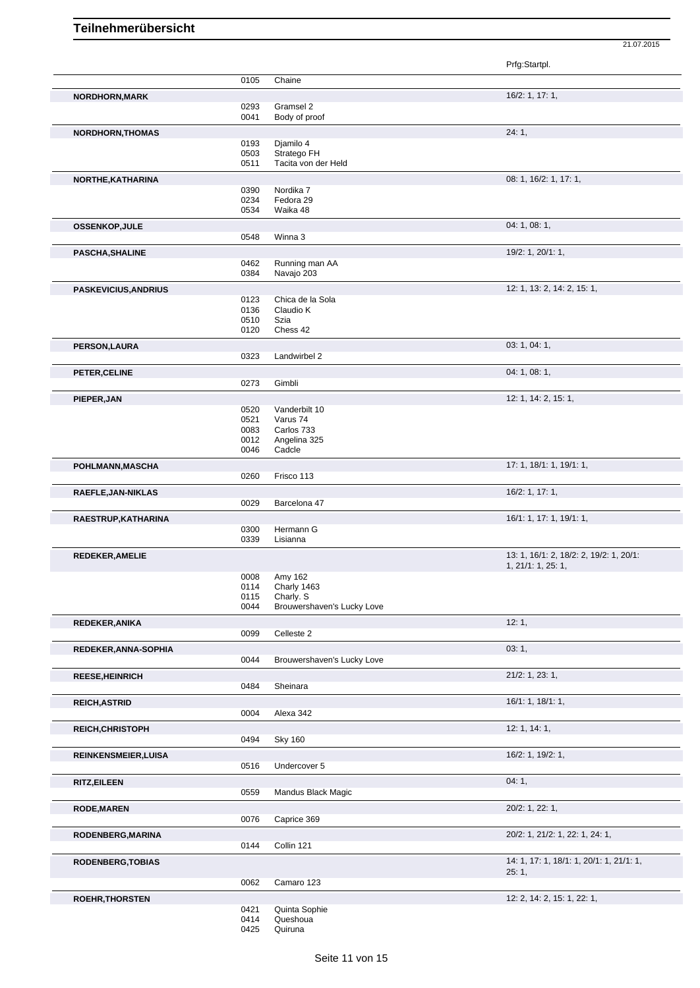|                             |      |                            | Prfg:Startpl.                            |
|-----------------------------|------|----------------------------|------------------------------------------|
|                             | 0105 | Chaine                     |                                          |
|                             |      |                            |                                          |
| NORDHORN, MARK              | 0293 | Gramsel 2                  | 16/2: 1, 17: 1,                          |
|                             | 0041 | Body of proof              |                                          |
| NORDHORN, THOMAS            |      |                            | 24:1,                                    |
|                             | 0193 | Djamilo 4                  |                                          |
|                             | 0503 | Stratego FH                |                                          |
|                             | 0511 | Tacita von der Held        |                                          |
| NORTHE, KATHARINA           |      |                            | 08: 1, 16/2: 1, 17: 1,                   |
|                             | 0390 | Nordika 7                  |                                          |
|                             | 0234 | Fedora 29                  |                                          |
|                             | 0534 | Waika 48                   |                                          |
| <b>OSSENKOP, JULE</b>       |      |                            | 04: 1, 08: 1,                            |
|                             | 0548 | Winna 3                    |                                          |
| <b>PASCHA, SHALINE</b>      |      |                            | 19/2: 1, 20/1: 1,                        |
|                             | 0462 | Running man AA             |                                          |
|                             | 0384 | Navajo 203                 |                                          |
| <b>PASKEVICIUS, ANDRIUS</b> |      |                            | 12: 1, 13: 2, 14: 2, 15: 1,              |
|                             | 0123 | Chica de la Sola           |                                          |
|                             | 0136 | Claudio K                  |                                          |
|                             | 0510 | Szia                       |                                          |
|                             | 0120 | Chess 42                   |                                          |
| PERSON, LAURA               |      |                            | 03: 1, 04: 1,                            |
|                             | 0323 | Landwirbel 2               |                                          |
| PETER, CELINE               |      |                            | 04: 1, 08: 1,                            |
|                             | 0273 | Gimbli                     |                                          |
| PIEPER, JAN                 |      |                            | 12: 1, 14: 2, 15: 1,                     |
|                             | 0520 | Vanderbilt 10              |                                          |
|                             | 0521 | Varus 74                   |                                          |
|                             | 0083 | Carlos 733                 |                                          |
|                             | 0012 | Angelina 325               |                                          |
|                             | 0046 | Cadcle                     |                                          |
| POHLMANN, MASCHA            |      |                            | 17: 1, 18/1: 1, 19/1: 1,                 |
|                             | 0260 | Frisco 113                 |                                          |
| RAEFLE, JAN-NIKLAS          |      |                            | 16/2: 1, 17: 1,                          |
|                             | 0029 | Barcelona 47               |                                          |
| RAESTRUP, KATHARINA         |      |                            | 16/1: 1, 17: 1, 19/1: 1,                 |
|                             | 0300 | Hermann G                  |                                          |
|                             | 0339 | Lisianna                   |                                          |
| <b>REDEKER, AMELIE</b>      |      |                            | 13: 1, 16/1: 2, 18/2: 2, 19/2: 1, 20/1:  |
|                             |      |                            | 1, 21/1: 1, 25: 1,                       |
|                             | 0008 | Amy 162                    |                                          |
|                             | 0114 | Charly 1463                |                                          |
|                             | 0115 | Charly. S                  |                                          |
|                             | 0044 | Brouwershaven's Lucky Love |                                          |
| REDEKER, ANIKA              |      |                            | 12:1,                                    |
|                             | 0099 | Celleste 2                 |                                          |
| REDEKER, ANNA-SOPHIA        |      |                            | 03:1,                                    |
|                             | 0044 | Brouwershaven's Lucky Love |                                          |
| <b>REESE, HEINRICH</b>      |      |                            | $21/2$ : 1, 23: 1,                       |
|                             | 0484 | Sheinara                   |                                          |
| <b>REICH, ASTRID</b>        |      |                            | 16/1: 1, 18/1: 1,                        |
|                             | 0004 | Alexa 342                  |                                          |
| <b>REICH, CHRISTOPH</b>     |      |                            | 12: 1, 14: 1,                            |
|                             | 0494 | <b>Sky 160</b>             |                                          |
|                             |      |                            |                                          |
| <b>REINKENSMEIER, LUISA</b> |      |                            | 16/2: 1, 19/2: 1,                        |
|                             | 0516 | Undercover 5               |                                          |
| <b>RITZ, EILEEN</b>         |      |                            | 04:1,                                    |
|                             | 0559 | Mandus Black Magic         |                                          |
| <b>RODE, MAREN</b>          |      |                            | 20/2: 1, 22: 1,                          |
|                             | 0076 | Caprice 369                |                                          |
| RODENBERG, MARINA           |      |                            | 20/2: 1, 21/2: 1, 22: 1, 24: 1,          |
|                             | 0144 | Collin 121                 |                                          |
|                             |      |                            | 14: 1, 17: 1, 18/1: 1, 20/1: 1, 21/1: 1, |
| <b>RODENBERG, TOBIAS</b>    |      |                            | 25:1,                                    |
|                             | 0062 | Camaro 123                 |                                          |
|                             |      |                            |                                          |
| <b>ROEHR, THORSTEN</b>      | 0421 | Quinta Sophie              | 12: 2, 14: 2, 15: 1, 22: 1,              |
|                             | 0414 | Queshoua                   |                                          |
|                             |      |                            |                                          |

<sup>0425</sup> Quiruna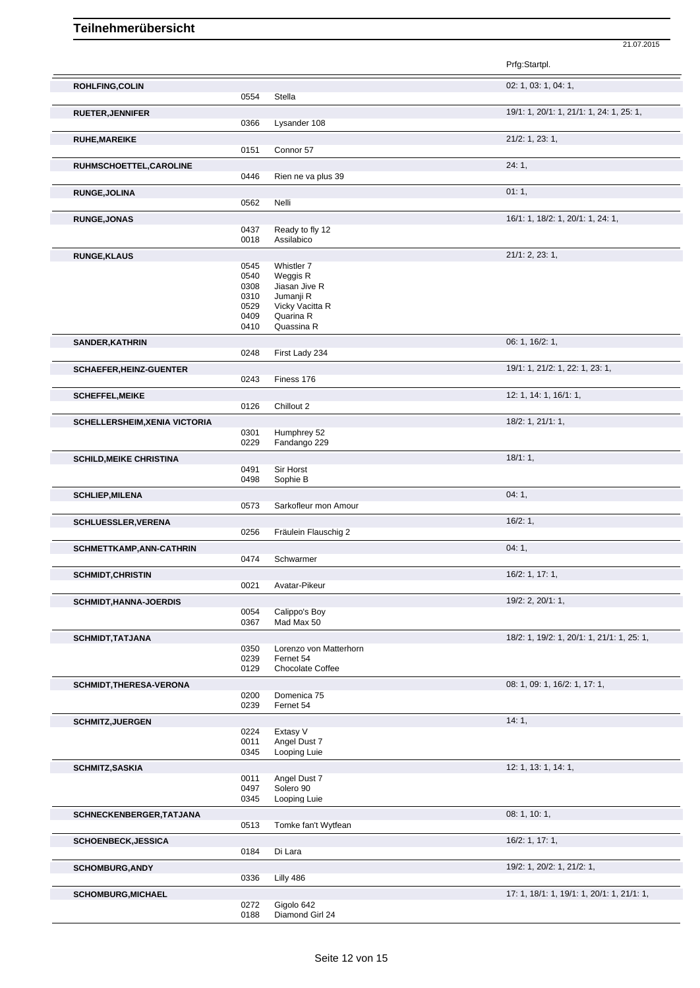|                                      |              |                               | Prfg:Startpl.                              |
|--------------------------------------|--------------|-------------------------------|--------------------------------------------|
| <b>ROHLFING, COLIN</b>               |              |                               | 02: 1, 03: 1, 04: 1,                       |
|                                      | 0554         | Stella                        |                                            |
| <b>RUETER, JENNIFER</b>              | 0366         | Lysander 108                  | 19/1: 1, 20/1: 1, 21/1: 1, 24: 1, 25: 1,   |
| <b>RUHE, MAREIKE</b>                 |              |                               | 21/2: 1, 23: 1,                            |
|                                      | 0151         | Connor 57                     |                                            |
| RUHMSCHOETTEL, CAROLINE              |              |                               | 24:1,                                      |
|                                      | 0446         | Rien ne va plus 39            |                                            |
| <b>RUNGE, JOLINA</b>                 |              |                               | 01:1,                                      |
|                                      | 0562         | Nelli                         |                                            |
| <b>RUNGE, JONAS</b>                  |              |                               | 16/1: 1, 18/2: 1, 20/1: 1, 24: 1,          |
|                                      | 0437<br>0018 | Ready to fly 12<br>Assilabico |                                            |
| <b>RUNGE, KLAUS</b>                  |              |                               | 21/1: 2, 23: 1,                            |
|                                      | 0545         | Whistler 7                    |                                            |
|                                      | 0540         | Weggis R                      |                                            |
|                                      | 0308         | Jiasan Jive R                 |                                            |
|                                      | 0310         | Jumanji R                     |                                            |
|                                      | 0529         | Vicky Vacitta R<br>Quarina R  |                                            |
|                                      | 0409<br>0410 | Quassina R                    |                                            |
| SANDER, KATHRIN                      |              |                               | 06: 1, 16/2: 1,                            |
|                                      | 0248         | First Lady 234                |                                            |
| <b>SCHAEFER, HEINZ-GUENTER</b>       |              |                               | 19/1: 1, 21/2: 1, 22: 1, 23: 1,            |
|                                      | 0243         | Finess 176                    |                                            |
| <b>SCHEFFEL, MEIKE</b>               |              |                               | 12: 1, 14: 1, 16/1: 1,                     |
|                                      | 0126         | Chillout 2                    |                                            |
| <b>SCHELLERSHEIM, XENIA VICTORIA</b> |              |                               | 18/2: 1, 21/1: 1,                          |
|                                      | 0301         | Humphrey 52                   |                                            |
|                                      | 0229         | Fandango 229                  |                                            |
| <b>SCHILD, MEIKE CHRISTINA</b>       | 0491         | Sir Horst                     | 18/1:1,                                    |
|                                      | 0498         | Sophie B                      |                                            |
| <b>SCHLIEP, MILENA</b>               |              |                               | 04:1,                                      |
|                                      | 0573         | Sarkofleur mon Amour          |                                            |
| <b>SCHLUESSLER, VERENA</b>           |              |                               | 16/2:1,                                    |
|                                      | 0256         | Fräulein Flauschig 2          |                                            |
| SCHMETTKAMP, ANN-CATHRIN             |              |                               | 04:1,                                      |
|                                      | 0474         | Schwarmer                     |                                            |
| <b>SCHMIDT, CHRISTIN</b>             |              |                               | 16/2: 1, 17: 1,                            |
|                                      | 0021         | Avatar-Pikeur                 |                                            |
| <b>SCHMIDT, HANNA-JOERDIS</b>        |              |                               | 19/2: 2, 20/1: 1,                          |
|                                      | 0054<br>0367 | Calippo's Boy<br>Mad Max 50   |                                            |
|                                      |              |                               |                                            |
| <b>SCHMIDT, TATJANA</b>              | 0350         | Lorenzo von Matterhorn        | 18/2: 1, 19/2: 1, 20/1: 1, 21/1: 1, 25: 1, |
|                                      | 0239         | Fernet 54                     |                                            |
|                                      | 0129         | Chocolate Coffee              |                                            |
| SCHMIDT, THERESA-VERONA              |              |                               | 08: 1, 09: 1, 16/2: 1, 17: 1,              |
|                                      | 0200         | Domenica 75                   |                                            |
|                                      | 0239         | Fernet 54                     |                                            |
| <b>SCHMITZ, JUERGEN</b>              |              | Extasy V                      | 14:1,                                      |
|                                      | 0224<br>0011 | Angel Dust 7                  |                                            |
|                                      | 0345         | Looping Luie                  |                                            |
| <b>SCHMITZ, SASKIA</b>               |              |                               | 12: 1, 13: 1, 14: 1,                       |
|                                      | 0011         | Angel Dust 7                  |                                            |
|                                      | 0497         | Solero 90                     |                                            |
|                                      | 0345         | Looping Luie                  |                                            |
| SCHNECKENBERGER, TATJANA             |              |                               | 08: 1, 10: 1,                              |
|                                      | 0513         | Tomke fan't Wytfean           |                                            |
| <b>SCHOENBECK, JESSICA</b>           |              |                               | 16/2: 1, 17: 1,                            |
|                                      | 0184         | Di Lara                       |                                            |
| <b>SCHOMBURG, ANDY</b>               |              |                               | 19/2: 1, 20/2: 1, 21/2: 1,                 |
|                                      | 0336         | Lilly 486                     |                                            |
| <b>SCHOMBURG, MICHAEL</b>            |              |                               | 17: 1, 18/1: 1, 19/1: 1, 20/1: 1, 21/1: 1, |
|                                      | 0272<br>0188 | Gigolo 642<br>Diamond Girl 24 |                                            |
|                                      |              |                               |                                            |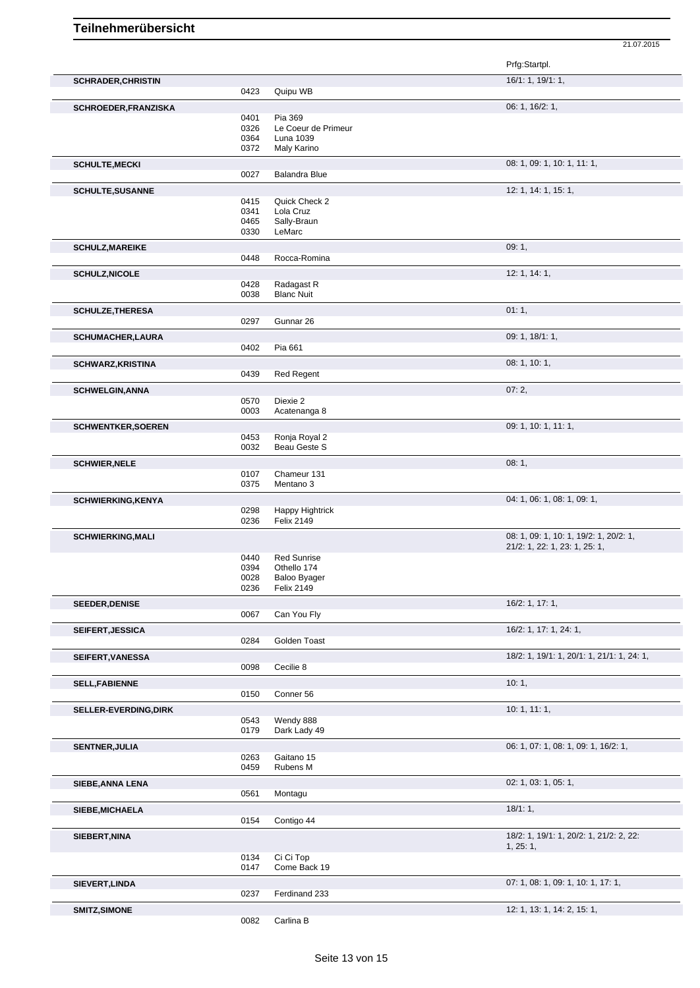|                              |              |                                          | Prfg:Startpl.                              |  |
|------------------------------|--------------|------------------------------------------|--------------------------------------------|--|
| <b>SCHRADER, CHRISTIN</b>    |              | Quipu WB                                 | 16/1: 1, 19/1: 1,                          |  |
|                              | 0423         |                                          |                                            |  |
| SCHROEDER, FRANZISKA         | 0401         | Pia 369                                  | 06: 1, 16/2: 1,                            |  |
|                              | 0326         | Le Coeur de Primeur                      |                                            |  |
|                              | 0364         | Luna 1039                                |                                            |  |
|                              | 0372         | Maly Karino                              |                                            |  |
| <b>SCHULTE, MECKI</b>        |              |                                          | 08: 1, 09: 1, 10: 1, 11: 1,                |  |
|                              | 0027         | <b>Balandra Blue</b>                     |                                            |  |
| <b>SCHULTE, SUSANNE</b>      |              |                                          | 12: 1, 14: 1, 15: 1,                       |  |
|                              | 0415         | Quick Check 2                            |                                            |  |
|                              | 0341         | Lola Cruz                                |                                            |  |
|                              | 0465         | Sally-Braun                              |                                            |  |
|                              | 0330         | LeMarc                                   |                                            |  |
| <b>SCHULZ, MAREIKE</b>       |              |                                          | 09:1,                                      |  |
|                              | 0448         | Rocca-Romina                             |                                            |  |
| <b>SCHULZ, NICOLE</b>        |              |                                          | 12: 1, 14: 1,                              |  |
|                              | 0428         | Radagast R                               |                                            |  |
|                              | 0038         | <b>Blanc Nuit</b>                        |                                            |  |
| <b>SCHULZE, THERESA</b>      |              |                                          | 01:1,                                      |  |
|                              | 0297         | Gunnar 26                                |                                            |  |
| <b>SCHUMACHER, LAURA</b>     |              |                                          | 09: 1, 18/1: 1,                            |  |
|                              | 0402         | Pia 661                                  |                                            |  |
|                              |              |                                          |                                            |  |
| <b>SCHWARZ, KRISTINA</b>     | 0439         | <b>Red Regent</b>                        | 08: 1, 10: 1,                              |  |
|                              |              |                                          |                                            |  |
| <b>SCHWELGIN, ANNA</b>       |              |                                          | 07:2,                                      |  |
|                              | 0570         | Diexie 2                                 |                                            |  |
|                              | 0003         | Acatenanga 8                             |                                            |  |
| <b>SCHWENTKER, SOEREN</b>    |              |                                          | 09: 1, 10: 1, 11: 1,                       |  |
|                              | 0453         | Ronja Royal 2                            |                                            |  |
|                              | 0032         | Beau Geste S                             |                                            |  |
| <b>SCHWIER, NELE</b>         |              |                                          | 08:1,                                      |  |
|                              | 0107         | Chameur 131                              |                                            |  |
|                              | 0375         | Mentano 3                                |                                            |  |
| <b>SCHWIERKING, KENYA</b>    |              |                                          | 04: 1, 06: 1, 08: 1, 09: 1,                |  |
|                              | 0298         | Happy Hightrick                          |                                            |  |
|                              | 0236         | <b>Felix 2149</b>                        |                                            |  |
| <b>SCHWIERKING, MALI</b>     |              |                                          | 08: 1, 09: 1, 10: 1, 19/2: 1, 20/2: 1,     |  |
|                              |              |                                          | 21/2: 1, 22: 1, 23: 1, 25: 1,              |  |
|                              | 0440         | <b>Red Sunrise</b>                       |                                            |  |
|                              | 0394         | Othello 174                              |                                            |  |
|                              | 0028<br>0236 | <b>Baloo Byager</b><br><b>Felix 2149</b> |                                            |  |
|                              |              |                                          |                                            |  |
| <b>SEEDER, DENISE</b>        |              |                                          | 16/2: 1, 17: 1,                            |  |
|                              | 0067         | Can You Fly                              |                                            |  |
| <b>SEIFERT, JESSICA</b>      |              |                                          | 16/2: 1, 17: 1, 24: 1,                     |  |
|                              | 0284         | Golden Toast                             |                                            |  |
| SEIFERT, VANESSA             |              |                                          | 18/2: 1, 19/1: 1, 20/1: 1, 21/1: 1, 24: 1, |  |
|                              | 0098         | Cecilie 8                                |                                            |  |
| <b>SELL, FABIENNE</b>        |              |                                          | 10:1,                                      |  |
|                              | 0150         | Conner 56                                |                                            |  |
| <b>SELLER-EVERDING, DIRK</b> |              |                                          | 10:1, 11:1,                                |  |
|                              | 0543         | Wendy 888                                |                                            |  |
|                              | 0179         | Dark Lady 49                             |                                            |  |
| <b>SENTNER, JULIA</b>        |              |                                          | 06: 1, 07: 1, 08: 1, 09: 1, 16/2: 1,       |  |
|                              | 0263         | Gaitano 15                               |                                            |  |
|                              | 0459         | Rubens M                                 |                                            |  |
|                              |              |                                          | 02: 1, 03: 1, 05: 1,                       |  |
| SIEBE, ANNA LENA             | 0561         | Montagu                                  |                                            |  |
|                              |              |                                          |                                            |  |
| SIEBE, MICHAELA              |              |                                          | 18/1:1,                                    |  |
|                              | 0154         | Contigo 44                               |                                            |  |
| SIEBERT, NINA                |              |                                          | 18/2: 1, 19/1: 1, 20/2: 1, 21/2: 2, 22:    |  |
|                              |              |                                          | 1, 25: 1,                                  |  |
|                              | 0134         | Ci Ci Top                                |                                            |  |
|                              | 0147         | Come Back 19                             |                                            |  |
| SIEVERT, LINDA               |              |                                          | 07: 1, 08: 1, 09: 1, 10: 1, 17: 1,         |  |
|                              | 0237         | Ferdinand 233                            |                                            |  |
| <b>SMITZ, SIMONE</b>         |              |                                          | 12: 1, 13: 1, 14: 2, 15: 1,                |  |
|                              | 0082         | Carlina B                                |                                            |  |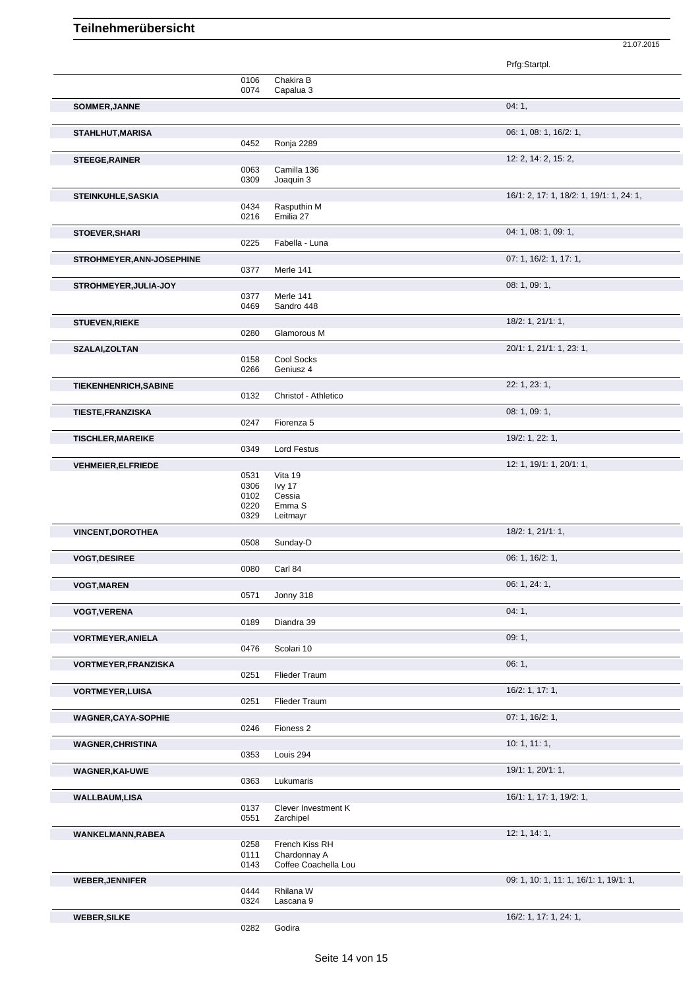|                             |              |                                | Prfg:Startpl.                            |
|-----------------------------|--------------|--------------------------------|------------------------------------------|
|                             | 0106<br>0074 | Chakira B<br>Capalua 3         |                                          |
| SOMMER, JANNE               |              |                                | 04:1,                                    |
| STAHLHUT, MARISA            |              |                                | 06: 1, 08: 1, 16/2: 1,                   |
|                             | 0452         | Ronja 2289                     |                                          |
| <b>STEEGE, RAINER</b>       | 0063         | Camilla 136                    | 12: 2, 14: 2, 15: 2,                     |
|                             | 0309         | Joaquin 3                      |                                          |
| STEINKUHLE, SASKIA          |              |                                | 16/1: 2, 17: 1, 18/2: 1, 19/1: 1, 24: 1, |
|                             | 0434         | Rasputhin M                    |                                          |
|                             | 0216         | Emilia 27                      |                                          |
| <b>STOEVER, SHARI</b>       |              |                                | 04: 1, 08: 1, 09: 1,                     |
|                             | 0225         | Fabella - Luna                 |                                          |
| STROHMEYER, ANN-JOSEPHINE   | 0377         | Merle 141                      | 07: 1, 16/2: 1, 17: 1,                   |
|                             |              |                                | 08: 1, 09: 1,                            |
| STROHMEYER, JULIA-JOY       | 0377         | Merle 141                      |                                          |
|                             | 0469         | Sandro 448                     |                                          |
| <b>STUEVEN, RIEKE</b>       |              |                                | 18/2: 1, 21/1: 1,                        |
|                             | 0280         | Glamorous M                    |                                          |
| SZALAI, ZOLTAN              |              |                                | 20/1: 1, 21/1: 1, 23: 1,                 |
|                             | 0158<br>0266 | Cool Socks<br>Geniusz 4        |                                          |
|                             |              |                                |                                          |
| TIEKENHENRICH, SABINE       | 0132         | Christof - Athletico           | 22: 1, 23: 1,                            |
|                             |              |                                | 08: 1, 09: 1,                            |
| <b>TIESTE, FRANZISKA</b>    | 0247         | Fiorenza 5                     |                                          |
| <b>TISCHLER, MAREIKE</b>    |              |                                | 19/2: 1, 22: 1,                          |
|                             | 0349         | <b>Lord Festus</b>             |                                          |
| <b>VEHMEIER, ELFRIEDE</b>   |              |                                | 12: 1, 19/1: 1, 20/1: 1,                 |
|                             | 0531         | Vita 19                        |                                          |
|                             | 0306         | lvy 17                         |                                          |
|                             | 0102<br>0220 | Cessia<br>Emma S               |                                          |
|                             | 0329         | Leitmayr                       |                                          |
| <b>VINCENT, DOROTHEA</b>    |              |                                | 18/2: 1, 21/1: 1,                        |
|                             | 0508         | Sunday-D                       |                                          |
| <b>VOGT, DESIREE</b>        |              |                                | 06: 1, 16/2: 1,                          |
|                             | 0080         | Carl 84                        |                                          |
| <b>VOGT, MAREN</b>          |              |                                | 06: 1, 24: 1,                            |
|                             | 0571         | Jonny 318                      |                                          |
| <b>VOGT, VERENA</b>         |              |                                | 04:1,                                    |
|                             | 0189         | Diandra 39                     |                                          |
| <b>VORTMEYER, ANIELA</b>    | 0476         | Scolari 10                     | 09:1,                                    |
|                             |              |                                |                                          |
| <b>VORTMEYER, FRANZISKA</b> | 0251         | Flieder Traum                  | 06:1,                                    |
| <b>VORTMEYER, LUISA</b>     |              |                                | 16/2: 1, 17: 1,                          |
|                             | 0251         | Flieder Traum                  |                                          |
| <b>WAGNER,CAYA-SOPHIE</b>   |              |                                | 07: 1, 16/2: 1,                          |
|                             | 0246         | Fioness <sub>2</sub>           |                                          |
| <b>WAGNER, CHRISTINA</b>    |              |                                | 10:1, 11:1,                              |
|                             | 0353         | Louis 294                      |                                          |
| <b>WAGNER, KAI-UWE</b>      |              |                                | 19/1: 1, 20/1: 1,                        |
|                             | 0363         | Lukumaris                      |                                          |
| <b>WALLBAUM,LISA</b>        |              |                                | 16/1: 1, 17: 1, 19/2: 1,                 |
|                             | 0137         | Clever Investment K            |                                          |
|                             | 0551         | Zarchipel                      |                                          |
| WANKELMANN, RABEA           |              |                                | 12: 1, 14: 1,                            |
|                             | 0258<br>0111 | French Kiss RH<br>Chardonnay A |                                          |
|                             | 0143         | Coffee Coachella Lou           |                                          |
| <b>WEBER, JENNIFER</b>      |              |                                | 09: 1, 10: 1, 11: 1, 16/1: 1, 19/1: 1,   |
|                             | 0444         | Rhilana W                      |                                          |
|                             | 0324         | Lascana 9                      |                                          |
| <b>WEBER, SILKE</b>         |              |                                | 16/2: 1, 17: 1, 24: 1,                   |
|                             | 0282         | Godira                         |                                          |